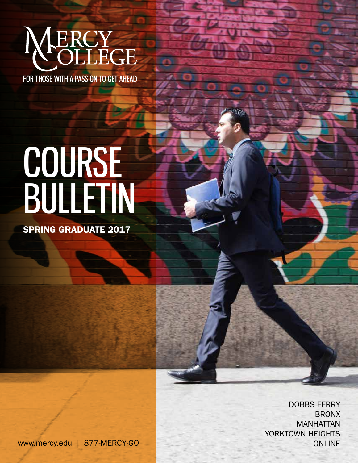# **ERCY<br>OLLEGE**

FOR THOSE WITH A PASSION TO GET AHEAD

# COURSE BULLETIN

SPRING GRADUATE 2017

DOBBS FERRY BRONX MANHATTAN YORKTOWN HEIGHTS

www.mercy.edu | 877-MERCY-GO ONLINE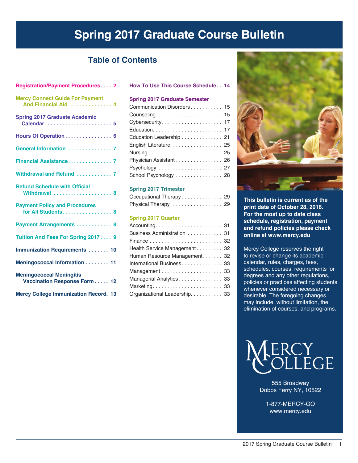# **Spring 2017 Graduate Course Bulletin**

## **Table of Contents**

#### **How To Use This Course Schedule. . . 14**

#### **Spring 2017 Graduate Semester**

| Communication Disorders 15 |  |
|----------------------------|--|
|                            |  |
|                            |  |
|                            |  |
| Education Leadership 21    |  |
| English Literature. 25     |  |
|                            |  |
| Physician Assistant 26     |  |
|                            |  |
| School Psychology  28      |  |

#### **Spring 2017 Trimester**

| Occupational Therapy 29 |  |
|-------------------------|--|
| Physical Therapy 29     |  |

#### **Spring 2017 Quarter**

| Business Administration  31   |  |
|-------------------------------|--|
|                               |  |
| Health Service Management 32  |  |
| Human Resource Management. 32 |  |
| International Business 33     |  |
|                               |  |
| Managerial Analytics 33       |  |
|                               |  |
| Organizational Leadership. 33 |  |



**This bulletin is current as of the print date of October 28, 2016. For the most up to date class schedule, registration, payment and refund policies please check online at www.mercy.edu**

Mercy College reserves the right to revise or change its academic calendar, rules, charges, fees, schedules, courses, requirements for degrees and any other regulations, policies or practices affecting students whenever considered necessary or desirable. The foregoing changes may include, without limitation, the elimination of courses, and programs.



555 Broadway Dobbs Ferry NY, 10522

1-877-MERCY-GO www.mercy.edu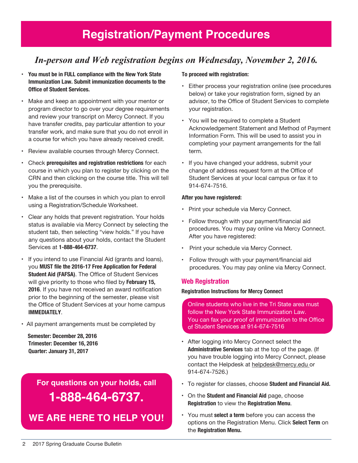## *In-person and Web registration begins on Wednesday, November 2, 2016.*

- **You must be in FULL compliance with the New York State Immunization Law. Submit immunization documents to the Office of Student Services.**
- Make and keep an appointment with your mentor or program director to go over your degree requirements and review your transcript on Mercy Connect. If you have transfer credits, pay particular attention to your transfer work, and make sure that you do not enroll in a course for which you have already received credit.
- Review available courses through Mercy Connect.
- Check **prerequisites and registration restrictions** for each course in which you plan to register by clicking on the CRN and then clicking on the course title. This will tell you the prerequisite.
- Make a list of the courses in which you plan to enroll using a Registration/Schedule Worksheet.
- Clear any holds that prevent registration. Your holds status is available via Mercy Connect by selecting the student tab, then selecting "view holds." If you have any questions about your holds, contact the Student Services at **1-888-464-6737**.
- If you intend to use Financial Aid (grants and loans), you **MUST file the 2016-17 Free Application for Federal Student Aid (FAFSA)**. The Office of Student Services will give priority to those who filed by **February 15, 2016**. If you have not received an award notification prior to the beginning of the semester, please visit the Office of Student Services at your home campus **IMMEDIATELY**.
- All payment arrangements must be completed by

 **Semester: December 28, 2016 Trimester: December 16, 2016 Quarter: January 31, 2017**

> **For questions on your holds, call 1-888-464-6737.**

**We are here to help You!**

#### **To proceed with registration:**

- Either process your registration online (see procedures below) or take your registration form, signed by an advisor, to the Office of Student Services to complete your registration.
- You will be required to complete a Student Acknowledgement Statement and Method of Payment Information Form. This will be used to assist you in completing your payment arrangements for the fall term.
- If you have changed your address, submit your change of address request form at the Office of Student Services at your local campus or fax it to 914-674-7516.

#### **After you have registered:**

- Print your schedule via Mercy Connect.
- Follow through with your payment/financial aid procedures. You may pay online via Mercy Connect. After you have registered:
- Print your schedule via Mercy Connect.
- Follow through with your payment/financial aid procedures. You may pay online via Mercy Connect.

## **Web Registration**

#### **Registration Instructions for Mercy Connect**

Online students who live in the Tri State area must follow the New York State Immunization Law. You can fax your proof of immunization to the Office of Student Services at 914-674-7516

- After logging into Mercy Connect select the **Administrative Services** tab at the top of the page. (If you have trouble logging into Mercy Connect, please contact the Helpdesk at helpdesk@mercy.edu or 914-674-7526.)
- To register for classes, choose **Student and Financial Aid.**
- On the **Student and Financial Aid** page, choose **Registration** to view the **Registration Menu**.
- You must **select a term** before you can access the options on the Registration Menu. Click **Select Term** on the **Registration Menu.**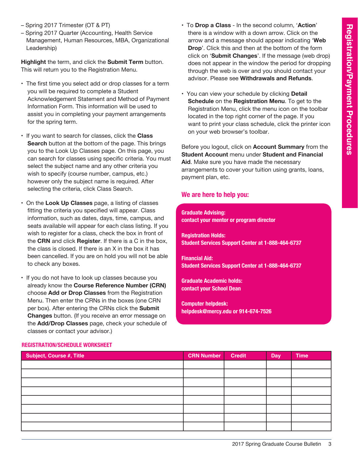- Spring 2017 Trimester (OT & PT)
- Spring 2017 Quarter (Accounting, Health Service Management, Human Resources, MBA, Organizational Leadership)

**Highlight** the term, and click the **Submit Term** button. This will return you to the Registration Menu.

- The first time you select add or drop classes for a term you will be required to complete a Student Acknowledgement Statement and Method of Payment Information Form. This information will be used to assist you in completing your payment arrangements for the spring term.
- If you want to search for classes, click the **Class Search** button at the bottom of the page. This brings you to the Look Up Classes page. On this page, you can search for classes using specific criteria. You must select the subject name and any other criteria you wish to specify (course number, campus, etc.) however only the subject name is required. After selecting the criteria, click Class Search.
- On the **Look Up Classes** page, a listing of classes fitting the criteria you specified will appear. Class information, such as dates, days, time, campus, and seats available will appear for each class listing. If you wish to register for a class, check the box in front of the **CRN** and click **Register**. If there is a C in the box, the class is closed. If there is an X in the box it has been cancelled. If you are on hold you will not be able to check any boxes.
- If you do not have to look up classes because you already know the **Course Reference Number (CRN)** choose **Add or Drop Classes** from the Registration Menu. Then enter the CRNs in the boxes (one CRN per box). After entering the CRNs click the **Submit Changes** button. (If you receive an error message on the **Add/Drop Classes** page, check your schedule of classes or contact your advisor.)
- To **Drop a Class** In the second column, '**Action**' there is a window with a down arrow. Click on the arrow and a message should appear indicating '**Web Drop**'. Click this and then at the bottom of the form click on '**Submit Changes**'. If the message (web drop) does not appear in the window the period for dropping through the web is over and you should contact your advisor. Please see **Withdrawals and Refunds**.
- You can view your schedule by clicking **Detail Schedule** on the **Registration Menu**. To get to the Registration Menu, click the menu icon on the toolbar located in the top right corner of the page. If you want to print your class schedule, click the printer icon on your web browser's toolbar.

Before you logout, click on **Account Summary** from the **Student Account** menu under **Student and Financial Aid**. Make sure you have made the necessary arrangements to cover your tuition using grants, loans, payment plan, etc.

## **We are here to help you:**

**Graduate Advising: contact your mentor or program director**

**Registration Holds: Student Services Support Center at 1-888-464-6737**

**Financial Aid: Student Services Support Center at 1-888-464-6737**

**Graduate Academic holds: contact your School Dean**

**Computer helpdesk: helpdesk@mercy.edu or 914-674-7526**

| <b>Subject, Course #, Title</b> | <b>CRN Number</b> | <b>Credit</b> | <b>Day</b> | <b>Time</b> |
|---------------------------------|-------------------|---------------|------------|-------------|
|                                 |                   |               |            |             |
|                                 |                   |               |            |             |
|                                 |                   |               |            |             |
|                                 |                   |               |            |             |
|                                 |                   |               |            |             |
|                                 |                   |               |            |             |
|                                 |                   |               |            |             |
|                                 |                   |               |            |             |
|                                 |                   |               |            |             |

#### **Registration/Schedule Worksheet**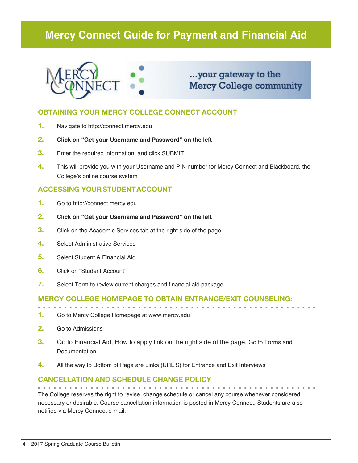## **Mercy Connect Guide for Payment and Financial Aid**



...your gateway to the **Mercy College community** 

## **OBTAINING YOUR MERCY COLLEGE CONNECT ACCOUNT**

- **1.** Navigate to http://connect.mercy.edu
- **2. Click on "Get your Username and Password" on the left**
- **3.** Enter the required information, and click SUBMIT.
- **4.** This will provide you with your Username and PIN number for Mercy Connect and Blackboard, the College's online course system

## **ACCESSING YOUR STUDENT ACCOUNT**

- **1.** Go to http://connect.mercy.edu
- **2. Click on "Get your Username and Password" on the left**
- **3.** Click on the Academic Services tab at the right side of the page
- **4.** Select Administrative Services
- **5.** Select Student & Financial Aid
- **6.** Click on "Student Account"
- **7.** Select Term to review current charges and financial aid package

#### **Mercy College homepage to obtain entrance/exit counseling:**

- 
- **1.** Go to Mercy College Homepage at www.mercy.edu
- **2.** Go to Admissions
- **3.** Go to Financial Aid, How to apply link on the right side of the page. Go to Forms and Documentation
- **4.** All the way to Bottom of Page are Links (URL'S) for Entrance and Exit Interviews

## **Cancellation and Schedule Change Policy**

The College reserves the right to revise, change schedule or cancel any course whenever considered necessary or desirable. Course cancellation information is posted in Mercy Connect. Students are also notified via Mercy Connect e-mail.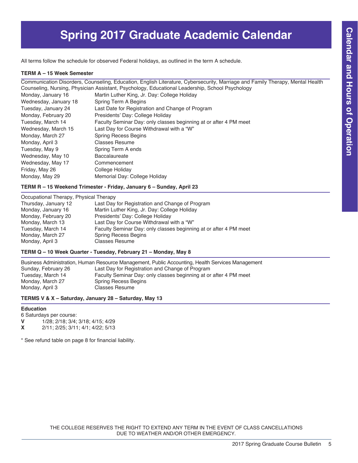# **Spring 2017 Graduate Academic Calendar**

All terms follow the schedule for observed Federal holidays, as outlined in the term A schedule.

#### **TERM A – 15 Week Semester**

Communication Disorders, Counseling, Education, English Literature, Cybersecurity, Marriage and Family Therapy, Mental Health Counseling, Nursing, Physician Assistant, Psychology, Educational Leadership, School Psychology

| Monday, January 16    | Martin Luther King, Jr. Day: College Holiday                      |
|-----------------------|-------------------------------------------------------------------|
| Wednesday, January 18 | Spring Term A Begins                                              |
| Tuesday, January 24   | Last Date for Registration and Change of Program                  |
| Monday, February 20   | Presidents' Day: College Holiday                                  |
| Tuesday, March 14     | Faculty Seminar Day: only classes beginning at or after 4 PM meet |
| Wednesday, March 15   | Last Day for Course Withdrawal with a "W"                         |
| Monday, March 27      | <b>Spring Recess Begins</b>                                       |
| Monday, April 3       | <b>Classes Resume</b>                                             |
| Tuesday, May 9        | Spring Term A ends                                                |
| Wednesday, May 10     | <b>Baccalaureate</b>                                              |
| Wednesday, May 17     | Commencement                                                      |
| Friday, May 26        | College Holiday                                                   |
| Monday, May 29        | Memorial Day: College Holiday                                     |

#### **TERM R – 15 Weekend Trimester - Friday, January 6 – Sunday, April 23**

#### Occupational Therapy, Physical Therapy

| Thursday, January 12 | Last Day for Registration and Change of Program                   |
|----------------------|-------------------------------------------------------------------|
| Monday, January 16   | Martin Luther King, Jr. Day: College Holiday                      |
| Monday, February 20  | Presidents' Day: College Holiday                                  |
| Monday, March 13     | Last Day for Course Withdrawal with a "W"                         |
| Tuesday, March 14    | Faculty Seminar Day: only classes beginning at or after 4 PM meet |
| Monday, March 27     | <b>Spring Recess Begins</b>                                       |
| Monday, April 3      | <b>Classes Resume</b>                                             |
|                      |                                                                   |

#### **TERM Q – 10 Week Quarter - Tuesday, February 21 – Monday, May 8**

Business Administration, Human Resource Management, Public Accounting, Health Services Management Sunday, February 26 Last Day for Registration and Change of Program Tuesday, March 14 Faculty Seminar Day: only classes beginning at or after 4 PM meet Monday, March 27 Spring Recess Begins<br>
Monday, April 3 Classes Resume Classes Resume

#### **TERMS V & X – Saturday, January 28 – Saturday, May 13**

#### **Education**

6 Saturdays per course:<br> $V = 1/28$ :  $2/18$ :  $3/4$ : **V** 1/28; 2/18; 3/4; 3/18; 4/15; 4/29<br>**X** 2/11; 2/25; 3/11; 4/1; 4/22; 5/13

**X** 2/11; 2/25; 3/11; 4/1; 4/22; 5/13

\* See refund table on page 8 for financial liability.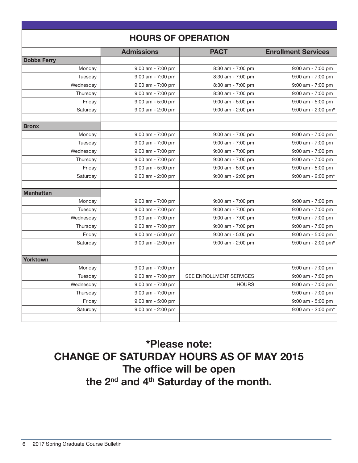|                    | <b>HOURS OF OPERATION</b> |                                |                            |
|--------------------|---------------------------|--------------------------------|----------------------------|
|                    | <b>Admissions</b>         | <b>PACT</b>                    | <b>Enrollment Services</b> |
| <b>Dobbs Ferry</b> |                           |                                |                            |
| Monday             | 9:00 am - 7:00 pm         | 8:30 am - 7:00 pm              | $9:00$ am - $7:00$ pm      |
| Tuesday            | $9:00$ am - $7:00$ pm     | 8:30 am - 7:00 pm              | $9:00$ am - $7:00$ pm      |
| Wednesday          | $9:00$ am - 7:00 pm       | 8:30 am - 7:00 pm              | $9:00$ am - 7:00 pm        |
| Thursday           | 9:00 am - 7:00 pm         | 8:30 am - 7:00 pm              | 9:00 am - 7:00 pm          |
| Friday             | $9:00$ am - 5:00 pm       | $9:00$ am - 5:00 pm            | 9:00 am - 5:00 pm          |
| Saturday           | $9:00$ am - 2:00 pm       | 9:00 am - 2:00 pm              | $9:00$ am - 2:00 pm*       |
| <b>Bronx</b>       |                           |                                |                            |
| Monday             | $9:00$ am - $7:00$ pm     | 9:00 am - 7:00 pm              | 9:00 am - 7:00 pm          |
| Tuesday            | $9:00$ am - 7:00 pm       | $9:00$ am - $7:00$ pm          | $9:00$ am - $7:00$ pm      |
| Wednesday          | $9:00$ am - 7:00 pm       | 9:00 am - 7:00 pm              | $9:00$ am - $7:00$ pm      |
| Thursday           | $9:00$ am - 7:00 pm       | $9:00$ am - $7:00$ pm          | $9:00$ am - 7:00 pm        |
| Friday             | 9:00 am - 5:00 pm         | 9:00 am - 5:00 pm              | 9:00 am - 5:00 pm          |
| Saturday           | $9:00$ am - 2:00 pm       | $9:00$ am - 2:00 pm            | 9:00 am - 2:00 pm*         |
| <b>Manhattan</b>   |                           |                                |                            |
| Monday             | $9:00$ am - $7:00$ pm     | 9:00 am - 7:00 pm              | 9:00 am - 7:00 pm          |
| Tuesday            | $9:00$ am - $7:00$ pm     | 9:00 am - 7:00 pm              | $9:00$ am - $7:00$ pm      |
| Wednesday          | $9:00$ am - 7:00 pm       | $9:00$ am - $7:00$ pm          | $9:00$ am - 7:00 pm        |
| Thursday           | 9:00 am - 7:00 pm         | 9:00 am - 7:00 pm              | 9:00 am - 7:00 pm          |
| Friday             | $9:00$ am - 5:00 pm       | $9:00$ am - $5:00$ pm          | $9:00$ am - $5:00$ pm      |
| Saturday           | $9:00$ am - 2:00 pm       | $9:00$ am - 2:00 pm            | 9:00 am - 2:00 pm*         |
| Yorktown           |                           |                                |                            |
| Monday             | 9:00 am - 7:00 pm         |                                | 9:00 am - 7:00 pm          |
| Tuesday            | $9:00$ am - $7:00$ pm     | <b>SEE ENROLLMENT SERVICES</b> | $9:00$ am - $7:00$ pm      |
| Wednesday          | $9:00$ am - 7:00 pm       | <b>HOURS</b>                   | 9:00 am - 7:00 pm          |
| Thursday           | 9:00 am - 7:00 pm         |                                | 9:00 am - 7:00 pm          |
| Friday             | $9:00$ am - 5:00 pm       |                                | $9:00$ am - 5:00 pm        |
| Saturday           | $9:00$ am - 2:00 pm       |                                | $9:00$ am - 2:00 pm*       |
|                    |                           |                                |                            |

# \*Please note: CHANGE OF SATURDAY HOURS AS OF MAY 2015 The office will be open the 2<sup>nd</sup> and 4<sup>th</sup> Saturday of the month.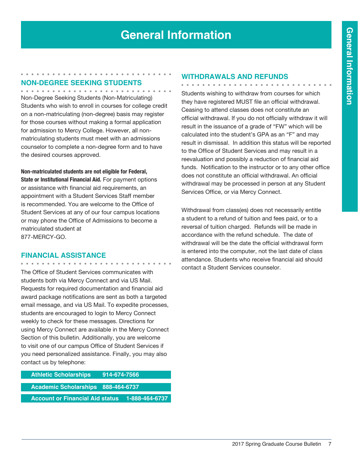## **Non-Degree Seeking Students**

Non-Degree Seeking Students (Non-Matriculating) Students who wish to enroll in courses for college credit on a non-matriculating (non-degree) basis may register for those courses without making a formal application for admission to Mercy College. However, all nonmatriculating students must meet with an admissions counselor to complete a non-degree form and to have the desired courses approved.

**Non-matriculated students are not eligible for Federal, State or Institutional Financial Aid.** For payment options or assistance with financial aid requirements, an appointment with a Student Services Staff member is recommended. You are welcome to the Office of Student Services at any of our four campus locations or may phone the Office of Admissions to become a matriculated student at 877-MERCY-GO.

## **Financial Assistance**

The Office of Student Services communicates with students both via Mercy Connect and via US Mail. Requests for required documentation and financial aid award package notifications are sent as both a targeted email message, and via US Mail. To expedite processes, students are encouraged to login to Mercy Connect weekly to check for these messages. Directions for using Mercy Connect are available in the Mercy Connect Section of this bulletin. Additionally, you are welcome to visit one of our campus Office of Student Services if you need personalized assistance. Finally, you may also contact us by telephone:

| <b>Athletic Scholarships</b>           | 914-674-7566 |                |
|----------------------------------------|--------------|----------------|
|                                        |              |                |
| Academic Scholarships 888-464-6737     |              |                |
|                                        |              |                |
| <b>Account or Financial Aid status</b> |              | 1-888-464-6737 |
|                                        |              |                |

#### **Withdrawals and Refunds**

. . . . . . . . . . . . Students wishing to withdraw from courses for which they have registered MUST file an official withdrawal. Ceasing to attend classes does not constitute an official withdrawal. If you do not officially withdraw it will result in the issuance of a grade of "FW" which will be calculated into the student's GPA as an "F" and may result in dismissal. In addition this status will be reported to the Office of Student Services and may result in a reevaluation and possibly a reduction of financial aid funds. Notification to the instructor or to any other office does not constitute an official withdrawal. An official withdrawal may be processed in person at any Student Services Office, or via Mercy Connect.

Withdrawal from class(es) does not necessarily entitle a student to a refund of tuition and fees paid, or to a reversal of tuition charged. Refunds will be made in accordance with the refund schedule. The date of withdrawal will be the date the official withdrawal form is entered into the computer, not the last date of class attendance. Students who receive financial aid should contact a Student Services counselor.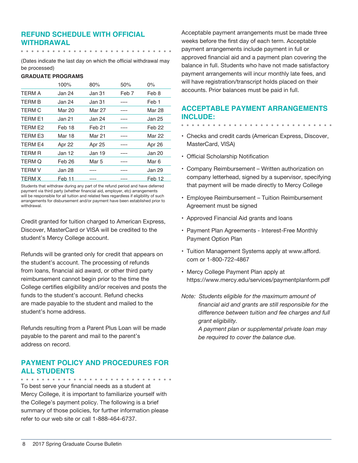## **Refund Schedule with Official Withdrawal**

(Dates indicate the last day on which the official withdrawal may be processed)

#### **GRADUATE PROGRAMS**

|                     | 100%    | 80%    | 50%   | $0\%$         |
|---------------------|---------|--------|-------|---------------|
| <b>TERM A</b>       | Jan 24  | Jan 31 | Feb 7 | Feb 8         |
| <b>TFRM B</b>       | Jan 24. | Jan 31 |       | Feb 1         |
| <b>TFRM C</b>       | Mar 20  | Mar 27 |       | Mar 28        |
| <b>TFRM F1</b>      | Jan 21  | Jan 24 |       | Jan 25        |
| TFRM F <sub>2</sub> | Feb 18  | Feb 21 |       | Feb 22        |
| <b>TERM E3</b>      | Mar 18  | Mar 21 |       | <b>Mar 22</b> |
| <b>TFRM F4</b>      | Apr 22  | Apr 25 |       | Apr 26        |
| <b>TFRM R</b>       | Jan 12  | Jan 19 |       | Jan 20        |
| <b>TERM Q</b>       | Feb 26  | Mar 5  |       | Mar 6         |
| <b>TERM V</b>       | Jan 28  |        |       | Jan 29        |
| <b>TERM X</b>       | Feb 11  |        |       | Feb 12        |

Students that withdraw during any part of the refund period and have deferred payment via third party (whether financial aid, employer, etc) arrangements will be responsible for all tuition and related fees regardless if eligibility of such arrangements for disbursement and/or payment have been established prior to withdrawal.

Credit granted for tuition charged to American Express, Discover, MasterCard or VISA will be credited to the student's Mercy College account.

Refunds will be granted only for credit that appears on the student's account. The processing of refunds from loans, financial aid award, or other third party reimbursement cannot begin prior to the time the College certifies eligibility and/or receives and posts the funds to the student's account. Refund checks are made payable to the student and mailed to the student's home address.

Refunds resulting from a Parent Plus Loan will be made payable to the parent and mail to the parent's address on record.

## **Payment Policy and Procedures for all Students**

To best serve your financial needs as a student at Mercy College, it is important to familiarize yourself with the College's payment policy. The following is a brief summary of those policies, for further information please refer to our web site or call 1-888-464-6737.

Acceptable payment arrangements must be made three weeks before the first day of each term. Acceptable payment arrangements include payment in full or approved financial aid and a payment plan covering the balance in full. Students who have not made satisfactory payment arrangements will incur monthly late fees, and will have registration/transcript holds placed on their accounts. Prior balances must be paid in full.

## **Acceptable Payment Arrangements include:**

- Checks and credit cards (American Express, Discover, MasterCard, VISA)
- Official Scholarship Notification
- Company Reimbursement Written authorization on company letterhead, signed by a supervisor, specifying that payment will be made directly to Mercy College
- Employee Reimbursement Tuition Reimbursement Agreement must be signed
- Approved Financial Aid grants and loans
- Payment Plan Agreements Interest-Free Monthly Payment Option Plan
- Tuition Management Systems apply at www.afford. com or 1-800-722-4867
- Mercy College Payment Plan apply at https://www.mercy.edu/services/paymentplanform.pdf
- *Note: Students eligible for the maximum amount of financial aid and grants are still responsible for the difference between tuition and fee charges and full grant eligibility.*

*A payment plan or supplemental private loan may be required to cover the balance due.*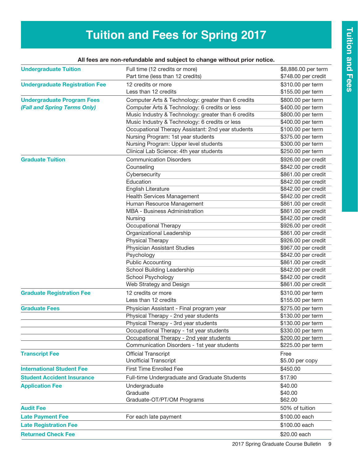# **Tuition and Fees for Spring 2017**

| <b>Undergraduate Tuition</b>          | Full time (12 credits or more)                      | \$8,886.00 per term |
|---------------------------------------|-----------------------------------------------------|---------------------|
|                                       | Part time (less than 12 credits)                    | \$748.00 per credit |
| <b>Undergraduate Registration Fee</b> | 12 credits or more                                  | \$310.00 per term   |
|                                       | Less than 12 credits                                | \$155.00 per term   |
| <b>Undergraduate Program Fees</b>     | Computer Arts & Technology: greater than 6 credits  | \$800.00 per term   |
| (Fall and Spring Terms Only)          | Computer Arts & Technology: 6 credits or less       | \$400.00 per term   |
|                                       | Music Industry & Technology: greater than 6 credits | \$800.00 per term   |
|                                       | Music Industry & Technology: 6 credits or less      | \$400.00 per term   |
|                                       | Occupational Therapy Assistant: 2nd year students   | \$100.00 per term   |
|                                       | Nursing Program: 1st year students                  | \$375.00 per term   |
|                                       | Nursing Program: Upper level students               | \$300.00 per term   |
|                                       | Clinical Lab Science: 4th year students             | \$250.00 per term   |
| <b>Graduate Tuition</b>               | <b>Communication Disorders</b>                      | \$926.00 per credit |
|                                       | Counseling                                          | \$842.00 per credit |
|                                       | Cybersecurity                                       | \$861.00 per credit |
|                                       | Education                                           | \$842.00 per credit |
|                                       | English Literature                                  | \$842.00 per credit |
|                                       | <b>Health Services Management</b>                   | \$842.00 per credit |
|                                       | Human Resource Management                           | \$861.00 per credit |
|                                       | MBA - Business Administration                       | \$861.00 per credit |
|                                       | Nursing                                             | \$842.00 per credit |
|                                       | Occupational Therapy                                | \$926.00 per credit |
|                                       | Organizational Leadership                           | \$861.00 per credit |
|                                       | Physical Therapy                                    | \$926.00 per credit |
|                                       | <b>Physician Assistant Studies</b>                  | \$967.00 per credit |
|                                       | Psychology                                          | \$842.00 per credit |
|                                       | <b>Public Accounting</b>                            | \$861.00 per credit |
|                                       | School Building Leadership                          | \$842.00 per credit |
|                                       | School Psychology                                   | \$842.00 per credit |
|                                       | Web Strategy and Design                             | \$861.00 per credit |
| <b>Graduate Registration Fee</b>      | 12 credits or more                                  | \$310.00 per term   |
|                                       | Less than 12 credits                                | \$155.00 per term   |
| <b>Graduate Fees</b>                  | Physician Assistant - Final program year            | \$275.00 per term   |
|                                       | Physical Therapy - 2nd year students                | \$130.00 per term   |
|                                       | Physical Therapy - 3rd year students                | \$130.00 per term   |
|                                       | Occupational Therapy - 1st year students            | \$330.00 per term   |
|                                       | Occupational Therapy - 2nd year students            | \$200.00 per term   |
|                                       | Communication Disorders - 1st year students         | \$225.00 per term   |
| <b>Transcript Fee</b>                 | <b>Official Transcript</b>                          | Free                |
|                                       | <b>Unofficial Transcript</b>                        | \$5.00 per copy     |
| <b>International Student Fee</b>      | <b>First Time Enrolled Fee</b>                      | \$450.00            |
| <b>Student Accident Insurance</b>     | Full-time Undergraduate and Graduate Students       | \$17.90             |
| <b>Application Fee</b>                | Undergraduate                                       | \$40.00             |
|                                       | Graduate                                            | \$40.00             |
|                                       | Graduate-OT/PT/OM Programs                          | \$62.00             |
| <b>Audit Fee</b>                      |                                                     | 50% of tuition      |
| <b>Late Payment Fee</b>               | For each late payment                               | \$100.00 each       |
| <b>Late Registration Fee</b>          |                                                     | \$100.00 each       |
| <b>Returned Check Fee</b>             |                                                     | \$20.00 each        |
|                                       |                                                     |                     |

## All fees are non-refundable and subject to change without prior notice.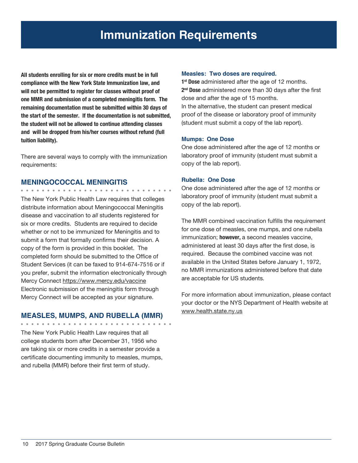**All students enrolling for six or more credits must be in full compliance with the New York State Immunization law, and will not be permitted to register for classes without proof of one MMR and submission of a completed meningitis form. The remaining documentation must be submitted within 30 days of the start of the semester. If the documentation is not submitted, the student will not be allowed to continue attending classes and will be dropped from his/her courses without refund (full tuition liability).**

There are several ways to comply with the immunization requirements:

### **MENINGOCOCCAL MENINGITIS**

The New York Public Health Law requires that colleges distribute information about Meningococcal Meningitis disease and vaccination to *all* students registered for six or more credits. Students are required to decide whether or not to be immunized for Meningitis and to submit a form that formally confirms their decision. A copy of the form is provided in this booklet. The completed form should be submitted to the Office of Student Services (it can be faxed to 914-674-7516 or if you prefer, submit the information electronically through Mercy Connect https://www.mercy.edu/vaccine Electronic submission of the meningitis form through Mercy Connect will be accepted as your signature.

## **MEASLES, MUMPS, AND RUBELLA (MMR)**

. . . . . .

The New York Public Health Law requires that all college students born after December 31, 1956 who are taking six or more credits in a semester provide a certificate documenting immunity to measles, mumps, and rubella (MMR) before their first term of study.

#### **Measles: Two doses are required.**

**1st Dose** administered after the age of 12 months. **2nd Dose** administered more than 30 days after the first dose and after the age of 15 months. In the alternative, the student can present medical proof of the disease or laboratory proof of immunity (student must submit a copy of the lab report).

#### **Mumps: One Dose**

One dose administered after the age of 12 months or laboratory proof of immunity (student must submit a copy of the lab report).

### **Rubella: One Dose**

One dose administered after the age of 12 months or laboratory proof of immunity (student must submit a copy of the lab report).

The MMR combined vaccination fulfills the requirement for one dose of measles, one mumps, and one rubella immunization; **however,** a second measles vaccine, administered at least 30 days after the first dose, is required. Because the combined vaccine was not available in the United States before January 1, 1972, no MMR immunizations administered before that date are acceptable for US students.

For more information about immunization, please contact your doctor or the NYS Department of Health website at www.health.state.ny.us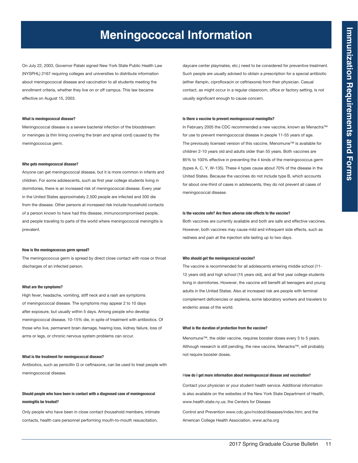# **Meningococcal Information**

On July 22, 2003, Governor Pataki signed New York State Public Health Law (NYSPHL) 2167 requiring colleges and universities to distribute information about meningococcal disease and vaccination to all students meeting the enrollment criteria, whether they live on or off campus. This law became effective on August 15, 2003.

#### **What is meningococcal disease?**

Meningococcal disease is a severe bacterial infection of the bloodstream or meninges (a thin lining covering the brain and spinal cord) caused by the meningococcus germ.

#### **Who gets meningococcal disease?**

Anyone can get meningococcal disease, but it is more common in infants and children. For some adolescents, such as first year college students living in dormitories, there is an increased risk of meningococcal disease. Every year in the United States approximately 2,500 people are infected and 300 die from the disease. Other persons at increased risk include household contacts of a person known to have had this disease, immunocompromised people, and people traveling to parts of the world where meningococcal meningitis is prevalent.

#### **How is the meningococcus germ spread?**

The meningococcus germ is spread by direct close contact with nose or throat discharges of an infected person.

#### **What are the symptoms?**

High fever, headache, vomiting, stiff neck and a rash are symptoms of meningococcal disease. The symptoms may appear 2 to 10 days after exposure, but usually within 5 days. Among people who develop meningococcal disease, 10-15% die, in spite of treatment with antibiotics. Of those who live, permanent brain damage, hearing loss, kidney failure, loss of arms or legs, or chronic nervous system problems can occur.

#### **What is the treatment for meningococcal disease?**

Antibiotics, such as penicillin G or ceftriaxone, can be used to treat people with meningococcal disease.

#### **Should people who have been in contact with a diagnosed case of meningococcal meningitis be treated?**

Only people who have been in close contact (household members, intimate contacts, health care personnel performing mouth-to-mouth resuscitation,

daycare center playmates, etc.) need to be considered for preventive treatment. Such people are usually advised to obtain a prescription for a special antibiotic (either ifampin, ciprofloxacin or ceftriaxone) from their physician. Casual contact, as might occur in a regular classroom, office or factory setting, is not usually significant enough to cause concern.

#### **Is there a vaccine to prevent meningococcal meningitis?**

In February 2005 the CDC recommended a new vaccine, known as Menactra™ for use to prevent meningococcal disease in people 11-55 years of age. The previously licensed version of this vaccine, Menomune™ is available for children 2-10 years old and adults older than 55 years. Both vaccines are 85% to 100% effective in preventing the 4 kinds of the meningococcus germ (types A, C, Y, W-135). These 4 types cause about 70% of the disease in the United States. Because the vaccines do not include type B, which accounts for about one-third of cases in adolescents, they do not prevent all cases of meningococcal disease.

#### **Is the vaccine safe? Are there adverse side effects to the vaccine?**

Both vaccines are currently available and both are safe and effective vaccines. However, both vaccines may cause mild and infrequent side effects, such as redness and pain at the injection site lasting up to two days.

#### **Who should get the meningococcal vaccine?**

The vaccine is recommended for all adolescents entering middle school (11- 12 years old) and high school (15 years old), and all first year college students living in dormitories. However, the vaccine will benefit all teenagers and young adults in the United States. Also at increased risk are people with terminal complement deficiencies or asplenia, some laboratory workers and travelers to endemic areas of the world.

#### **What is the duration of protection from the vaccine?**

Menomune™, the older vaccine, requires booster doses every 3 to 5 years. Although research is still pending, the new vaccine, Menactra™, will probably not require booster doses.

#### H**ow do I get more information about meningococcal disease and vaccination?**

Contact your physician or your student health service. Additional information is also available on the websites of the New York State Department of Health, www.health.state.ny.us; the Centers for Disease

Control and Prevention www.cdc.gov/ncidod/diseases/index.htm; and the American College Health Association, www.acha.org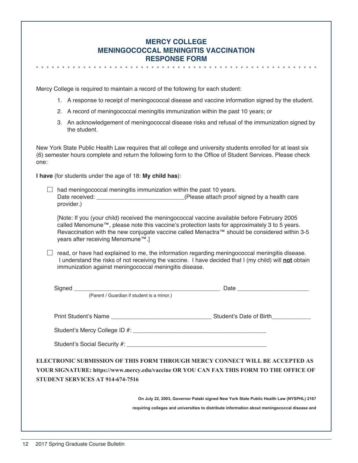| <b>MERCY COLLEGE</b>                        |
|---------------------------------------------|
| <b>MENINGOCOCCAL MENINGITIS VACCINATION</b> |
| <b>RESPONSE FORM</b>                        |

Mercy College is required to maintain a record of the following for each student:

- 1. A response to receipt of meningococcal disease and vaccine information signed by the student.
- 2. A record of meningococcal meningitis immunization within the past 10 years; or
- 3. An acknowledgement of meningococcal disease risks and refusal of the immunization signed by the student.

New York State Public Health Law requires that all college and university students enrolled for at least six (6) semester hours complete and return the following form to the Office of Student Services. Please check one:

**I have** (for students under the age of 18: **My child has**):

 $\Box$  had meningococcal meningitis immunization within the past 10 years. Date received: <br>  $\blacksquare$  (Please attach proof signed by a health care provider.)

[Note: If you (your child) received the meningococcal vaccine available before February 2005 called Menomune™, please note this vaccine's protection lasts for approximately 3 to 5 years. Revaccination with the new conjugate vaccine called Menactra™ should be considered within 3-5 years after receiving Menomune™.]

 $\Box$  read, or have had explained to me, the information regarding meningococcal meningitis disease. I understand the risks of not receiving the vaccine. I have decided that I (my child) will **not** obtain immunization against meningococcal meningitis disease.

|                                  | (Parent / Guardian if student is a minor.)                                                                                                                                               |
|----------------------------------|------------------------------------------------------------------------------------------------------------------------------------------------------------------------------------------|
|                                  |                                                                                                                                                                                          |
|                                  |                                                                                                                                                                                          |
|                                  |                                                                                                                                                                                          |
| STUDENT SERVICES AT 914-674-7516 | ELECTRONIC SUBMISSION OF THIS FORM THROUGH MERCY CONNECT WILL BE ACCEPTED AS<br>YOUR SIGNATURE: https://www.mercy.edu/vaccine OR YOU CAN FAX THIS FORM TO THE OFFICE OF                  |
|                                  | On July 22, 2003, Governor Pataki signed New York State Public Health Law (NYSPHL) 2167<br>requiring colleges and universities to distribute information about meningococcal disease and |
|                                  |                                                                                                                                                                                          |
|                                  |                                                                                                                                                                                          |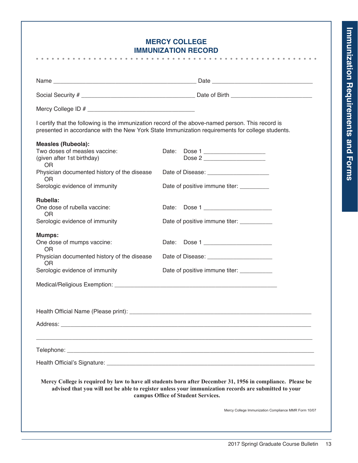## **Mercy College Immunization Record**

|                                                                                                                                                                                                                                                           | I certify that the following is the immunization record of the above-named person. This record is<br>presented in accordance with the New York State Immunization requirements for college students. |  |  |  |  |  |  |  |  |
|-----------------------------------------------------------------------------------------------------------------------------------------------------------------------------------------------------------------------------------------------------------|------------------------------------------------------------------------------------------------------------------------------------------------------------------------------------------------------|--|--|--|--|--|--|--|--|
| <b>Measles (Rubeola):</b><br>Two doses of measles vaccine:<br>(given after 1st birthday)<br><b>OR</b>                                                                                                                                                     | Date: Dose 1<br>Dose 2                                                                                                                                                                               |  |  |  |  |  |  |  |  |
| Physician documented history of the disease<br>OR.                                                                                                                                                                                                        |                                                                                                                                                                                                      |  |  |  |  |  |  |  |  |
| Serologic evidence of immunity                                                                                                                                                                                                                            | Date of positive immune titer:                                                                                                                                                                       |  |  |  |  |  |  |  |  |
| Rubella:<br>One dose of rubella vaccine:<br><b>OR</b>                                                                                                                                                                                                     | Date: Dose 1                                                                                                                                                                                         |  |  |  |  |  |  |  |  |
| Serologic evidence of immunity                                                                                                                                                                                                                            | Date of positive immune titer: __________                                                                                                                                                            |  |  |  |  |  |  |  |  |
| <b>Mumps:</b><br>One dose of mumps vaccine:<br><b>OR</b>                                                                                                                                                                                                  | Date: Dose 1                                                                                                                                                                                         |  |  |  |  |  |  |  |  |
| Physician documented history of the disease<br>OR.                                                                                                                                                                                                        | Date of Disease: ________________________                                                                                                                                                            |  |  |  |  |  |  |  |  |
| Serologic evidence of immunity                                                                                                                                                                                                                            | Date of positive immune titer: __________                                                                                                                                                            |  |  |  |  |  |  |  |  |
|                                                                                                                                                                                                                                                           |                                                                                                                                                                                                      |  |  |  |  |  |  |  |  |
|                                                                                                                                                                                                                                                           |                                                                                                                                                                                                      |  |  |  |  |  |  |  |  |
| Address:                                                                                                                                                                                                                                                  |                                                                                                                                                                                                      |  |  |  |  |  |  |  |  |
| Telephone: <u>www.communications.communications.com and the set of the set of the set of the set of the set of the set of the set of the set of the set of the set of the set of the set of the set of the set of the set of the</u>                      |                                                                                                                                                                                                      |  |  |  |  |  |  |  |  |
|                                                                                                                                                                                                                                                           |                                                                                                                                                                                                      |  |  |  |  |  |  |  |  |
| Mercy College is required by law to have all students born after December 31, 1956 in compliance. Please be<br>advised that you will not be able to register unless your immunization records are submitted to your<br>campus Office of Student Services. |                                                                                                                                                                                                      |  |  |  |  |  |  |  |  |
|                                                                                                                                                                                                                                                           | Mercy College Immunization Compliance MMR Form 10/07                                                                                                                                                 |  |  |  |  |  |  |  |  |
|                                                                                                                                                                                                                                                           |                                                                                                                                                                                                      |  |  |  |  |  |  |  |  |
|                                                                                                                                                                                                                                                           |                                                                                                                                                                                                      |  |  |  |  |  |  |  |  |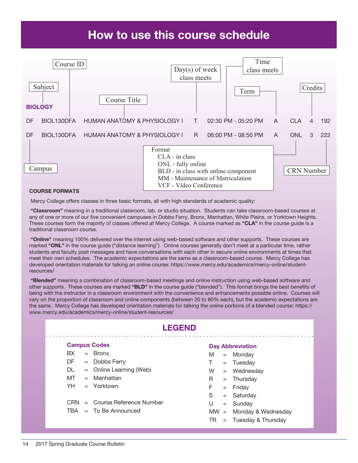# How to use this course schedule



#### Course Formats

Mercy College offers classes in three basic formats, all with high standards of academic quality:

 "Classroom" meaning in a traditional classroom, lab, or studio situation. Students can take classroom-based courses at any of one or more of our five convenient campuses in Dobbs Ferry, Bronx, Manhattan, White Plains, or Yorktown Heights. These courses form the majority of classes offered at Mercy College. A course marked as "CLA" in the course guide is a traditional classroom course.

"Online" meaning 100% delivered over the internet using web-based software and other supports. These courses are marked "ONL" in the course guide ("distance learning"). Online courses generally don't meet at a particular time, rather students and faculty post messages and have conversations with each other in secure online environments at times that meet their own schedules. The academic expectations are the same as a classroom-based course. Mercy College has developed orientation materials for talking an online course: https://www.mercy.edu/academics/mercy-online/studentresources/

 "Blended" meaning a combination of classroom-based meetings and online instruction using web-based software and other supports. These courses are marked "BLD" in the course guide ("blended"). This format brings the best benefits of being with the instructor in a classroom environment with the convenience and enhancements possible online. Courses will vary on the proportion of classroom and online components (between 20 to 80% each), but the academic expectations are the same. Mercy College has developed orientation materials for talking the online portions of a blended course: https:// www.mercy.edu/academics/mercy-online/student-resources/

| <b>LEGEND</b>   |  |                             |    |  |                           |  |  |  |  |  |  |  |
|-----------------|--|-----------------------------|----|--|---------------------------|--|--|--|--|--|--|--|
|                 |  | <b>Campus Codes</b>         |    |  | <b>Day Abbreviation</b>   |  |  |  |  |  |  |  |
| BX.             |  | $=$ Bronx                   | M  |  | $=$ Monday                |  |  |  |  |  |  |  |
| DF a            |  | $=$ Dobbs Ferry             | T. |  | $=$ Tuesday               |  |  |  |  |  |  |  |
| DL.             |  | $=$ Online Learning (Web)   | W  |  | $=$ Wednesday             |  |  |  |  |  |  |  |
| MT              |  | $=$ Manhattan               | R. |  | $=$ Thursday              |  |  |  |  |  |  |  |
| YH 1            |  | $=$ Yorktown                | F. |  | $=$ Friday                |  |  |  |  |  |  |  |
|                 |  |                             | S  |  | $=$ Saturday              |  |  |  |  |  |  |  |
| CRN <sub></sub> |  | $=$ Course Reference Number | U  |  | $=$ Sunday                |  |  |  |  |  |  |  |
| TBA             |  | $=$ To Be Announced         |    |  | $MW = Monday & Wednesday$ |  |  |  |  |  |  |  |
|                 |  |                             | TR |  | $=$ Tuesday & Thursday    |  |  |  |  |  |  |  |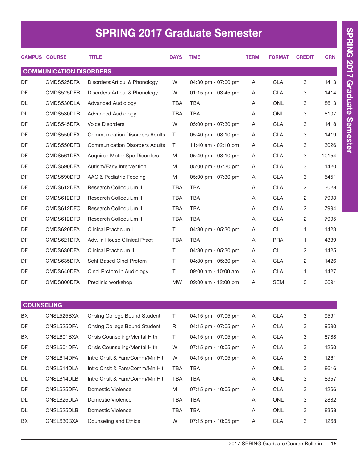# SPRING 2017 Graduate Semester

|           | <b>CAMPUS COURSE</b>           | <b>TITLE</b>                          | <b>DAYS</b> | <b>TIME</b>         | <b>TERM</b> | <b>FORMAT</b> | <b>CREDIT</b>  | <b>CRN</b> |
|-----------|--------------------------------|---------------------------------------|-------------|---------------------|-------------|---------------|----------------|------------|
|           | <b>COMMUNICATION DISORDERS</b> |                                       |             |                     |             |               |                |            |
| <b>DF</b> | CMDS525DFA                     | Disorders: Articul & Phonology        | W           | 04:30 pm - 07:00 pm | Α           | <b>CLA</b>    | 3              | 1413       |
| DF        | CMDS525DFB                     | Disorders: Articul & Phonology        | W           | 01:15 pm - 03:45 pm | A           | <b>CLA</b>    | 3              | 1414       |
| <b>DL</b> | CMDS530DLA                     | <b>Advanced Audiology</b>             | <b>TBA</b>  | <b>TBA</b>          | A           | <b>ONL</b>    | 3              | 8613       |
| <b>DL</b> | CMDS530DLB                     | <b>Advanced Audiology</b>             | <b>TBA</b>  | <b>TBA</b>          | A           | <b>ONL</b>    | 3              | 8107       |
| DF        | CMDS545DFA                     | <b>Voice Disorders</b>                | W           | 05:00 pm - 07:30 pm | A           | <b>CLA</b>    | 3              | 1418       |
| DF        | CMDS550DFA                     | <b>Communication Disorders Adults</b> | Τ           | 05:40 pm - 08:10 pm | A           | <b>CLA</b>    | 3              | 1419       |
| DF        | CMDS550DFB                     | <b>Communication Disorders Adults</b> | T           | 11:40 am - 02:10 pm | A           | <b>CLA</b>    | 3              | 3026       |
| DF        | CMDS561DFA                     | <b>Acquired Motor Spe Disorders</b>   | M           | 05:40 pm - 08:10 pm | A           | <b>CLA</b>    | 3              | 10154      |
| <b>DF</b> | CMDS590DFA                     | Autism/Early Intervention             | M           | 05:00 pm - 07:30 pm | A           | <b>CLA</b>    | 3              | 1420       |
| DF        | CMDS590DFB                     | AAC & Pediatric Feeding               | M           | 05:00 pm - 07:30 pm | A           | <b>CLA</b>    | 3              | 5451       |
| DF        | CMDS612DFA                     | Research Colloquium II                | <b>TBA</b>  | <b>TBA</b>          | A           | <b>CLA</b>    | $\overline{2}$ | 3028       |
| DF        | CMDS612DFB                     | Research Colloquium II                | <b>TBA</b>  | <b>TBA</b>          | Α           | <b>CLA</b>    | $\overline{2}$ | 7993       |
| <b>DF</b> | CMDS612DFC                     | Research Colloquium II                | <b>TBA</b>  | <b>TBA</b>          | A           | <b>CLA</b>    | $\overline{2}$ | 7994       |
| DF        | CMDS612DFD                     | Research Colloquium II                | <b>TBA</b>  | <b>TBA</b>          | A           | <b>CLA</b>    | 2              | 7995       |
| DF        | CMDS620DFA                     | <b>Clinical Practicum I</b>           | T.          | 04:30 pm - 05:30 pm | A           | <b>CL</b>     | 1              | 1423       |
| <b>DF</b> | CMDS621DFA                     | Adv. In House Clinical Pract          | <b>TBA</b>  | <b>TBA</b>          | A           | <b>PRA</b>    | 1              | 4339       |
| DF        | CMDS630DFA                     | <b>Clinical Practicum III</b>         | $\top$      | 04:30 pm - 05:30 pm | A           | <b>CL</b>     | $\overline{2}$ | 1425       |
| DF        | CMDS635DFA                     | <b>Schl-Based Cincl Prctcm</b>        | Τ           | 04:30 pm - 05:30 pm | A           | <b>CLA</b>    | $\overline{2}$ | 1426       |
| DF        | CMDS640DFA                     | Cincl Prctcm in Audiology             | T           | 09:00 am - 10:00 am | A           | <b>CLA</b>    | 1              | 1427       |
| DF        | CMDS800DFA                     | Preclinic workshop                    | <b>MW</b>   | 09:00 am - 12:00 pm | A           | <b>SEM</b>    | 0              | 6691       |

|           | <b>UUUNSELING</b> |                               |            |                       |   |            |   |      |
|-----------|-------------------|-------------------------------|------------|-----------------------|---|------------|---|------|
| <b>BX</b> | CNSL525BXA        | Cnslng College Bound Student  | т          | 04:15 pm - 07:05 pm   | A | <b>CLA</b> | 3 | 9591 |
| DF        | CNSL525DFA        | Cnsing College Bound Student  | R          | $04:15$ pm - 07:05 pm | A | <b>CLA</b> | 3 | 9590 |
| <b>BX</b> | CNSL601BXA        | Crisis Counseling/Mental Hith | Τ          | 04:15 pm - 07:05 pm   | A | <b>CLA</b> | 3 | 8788 |
| DF        | CNSL601DFA        | Crisis Counseling/Mental Hith | W          | 07:15 pm - 10:05 pm   | A | <b>CLA</b> | 3 | 1260 |
| DF        | CNSL614DFA        | Intro Cnslt & Fam/Comm/Mn Hlt | W          | 04:15 pm - 07:05 pm   | A | <b>CLA</b> | 3 | 1261 |
| <b>DL</b> | CNSL614DLA        | Intro Cnsit & Fam/Comm/Mn Hit | TBA        | TBA                   | A | <b>ONL</b> | 3 | 8616 |
| DL        | CNSL614DLB        | Intro Cnsit & Fam/Comm/Mn Hit | TBA        | TBA                   | A | <b>ONL</b> | 3 | 8357 |
| <b>DF</b> | CNSL625DFA        | Domestic Violence             | M          | $07:15$ pm - 10:05 pm | A | <b>CLA</b> | 3 | 1266 |
| DL        | CNSL625DLA        | Domestic Violence             | TBA        | TBA                   | A | <b>ONL</b> | 3 | 2882 |
| <b>DL</b> | CNSL625DLB        | Domestic Violence             | <b>TBA</b> | TBA                   | A | <b>ONL</b> | 3 | 8358 |
| <b>BX</b> | CNSL630BXA        | Counseling and Ethics         | W          | $07:15$ pm - 10:05 pm | A | <b>CLA</b> | 3 | 1268 |
|           |                   |                               |            |                       |   |            |   |      |

COUNSELING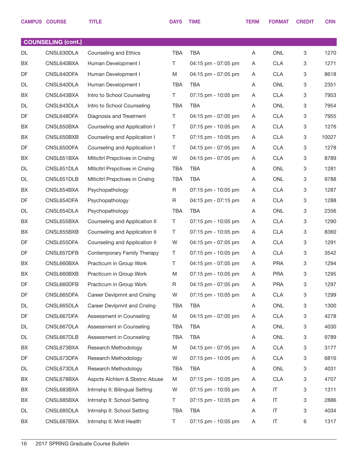|    | <b>CAMPUS COURSE</b>      | <b>TITLE</b>                          | <b>DAYS</b> | <b>TIME</b>         | <b>TERM</b> | <b>FORMAT</b> | <b>CREDIT</b> | <b>CRN</b> |
|----|---------------------------|---------------------------------------|-------------|---------------------|-------------|---------------|---------------|------------|
|    |                           |                                       |             |                     |             |               |               |            |
|    | <b>COUNSELING (cont.)</b> |                                       |             |                     |             |               |               |            |
| DL | CNSL630DLA                | Counseling and Ethics                 | <b>TBA</b>  | <b>TBA</b>          | Α           | ONL           | 3             | 1270       |
| BX | CNSL640BXA                | Human Development I                   | T.          | 04:15 pm - 07:05 pm | A           | <b>CLA</b>    | 3             | 1271       |
| DF | CNSL640DFA                | Human Development I                   | M           | 04:15 pm - 07:05 pm | Α           | <b>CLA</b>    | 3             | 8618       |
| DL | CNSL640DLA                | Human Development I                   | <b>TBA</b>  | <b>TBA</b>          | A           | ONL           | 3             | 2351       |
| BX | CNSL643BXA                | Intro to School Counseling            | T.          | 07:15 pm - 10:05 pm | Α           | <b>CLA</b>    | 3             | 7953       |
| DL | CNSL643DLA                | Intro to School Counseling            | <b>TBA</b>  | <b>TBA</b>          | Α           | ONL           | 3             | 7954       |
| DF | CNSL648DFA                | Diagnosis and Treatment               | T.          | 04:15 pm - 07:05 pm | Α           | <b>CLA</b>    | 3             | 7955       |
| BX | CNSL650BXA                | Counseling and Application I          | Τ           | 07:15 pm - 10:05 pm | A           | <b>CLA</b>    | 3             | 1276       |
| BX | CNSL650BXB                | Counseling and Application I          | Τ           | 07:15 pm - 10:05 pm | A           | <b>CLA</b>    | 3             | 10027      |
| DF | CNSL650DFA                | Counseling and Application I          | Τ           | 04:15 pm - 07:05 pm | A           | <b>CLA</b>    | 3             | 1278       |
| BX | CNSL651BXA                | Miticitri Prspctives in Cnsing        | W           | 04:15 pm - 07:05 pm | A           | <b>CLA</b>    | 3             | 8789       |
| DL | CNSL651DLA                | <b>Miticitri Prspctives in Cnsing</b> | TBA         | <b>TBA</b>          | Α           | ONL           | 3             | 1281       |
| DL | CNSL651DLB                | <b>Miticitri Prspctives in Cnsing</b> | <b>TBA</b>  | <b>TBA</b>          | Α           | ONL           | 3             | 9788       |
| BX | CNSL654BXA                | Psychopathology                       | $\mathsf R$ | 07:15 pm - 10:05 pm | A           | <b>CLA</b>    | 3             | 1287       |
| DF | CNSL654DFA                | Psychopathology                       | $\mathsf R$ | 04:15 pm - 07:15 pm | A           | <b>CLA</b>    | 3             | 1288       |
| DL | CNSL654DLA                | Psychopathology                       | <b>TBA</b>  | <b>TBA</b>          | A           | ONL           | 3             | 2356       |
| BX | CNSL655BXA                | Counseling and Application II         | Τ           | 07:15 pm - 10:05 pm | Α           | <b>CLA</b>    | 3             | 1290       |
| BX | CNSL655BXB                | Counseling and Application II         | Τ           | 07:15 pm - 10:05 pm | A           | <b>CLA</b>    | 3             | 8360       |
| DF | CNSL655DFA                | Counseling and Application II         | W           | 04:15 pm - 07:05 pm | A           | <b>CLA</b>    | 3             | 1291       |
| DF | CNSL657DFB                | Contemporary Family Therapy           | Τ           | 07:15 pm - 10:05 pm | A           | <b>CLA</b>    | 3             | 3542       |
| BX | CNSL660BXA                | Practicum in Group Work               | Τ           | 04:15 pm - 07:05 pm | A           | <b>PRA</b>    | 3             | 1294       |
| BX | CNSL660BXB                | Practicum in Group Work               | M           | 07:15 pm - 10:05 pm | Α           | <b>PRA</b>    | 3             | 1295       |
| DF | CNSL660DFB                | Practicum in Group Work               | R           | 04:15 pm - 07:05 pm | A           | <b>PRA</b>    | 3             | 1297       |
| DF | CNSL665DFA                | Career Devlpmnt and Cnslng            | W           | 07:15 pm - 10:05 pm | A           | <b>CLA</b>    | 3             | 1299       |
| DL | CNSL665DLA                | Career Devlpmnt and Cnslng            | <b>TBA</b>  | <b>TBA</b>          | A           | ONL           | 3             | 1300       |
| DF | CNSL667DFA                | Assessment in Counseling              | M           | 04:15 pm - 07:05 pm | A           | <b>CLA</b>    | 3             | 4278       |
| DL | CNSL667DLA                | Assessment in Counseling              | TBA         | <b>TBA</b>          | A           | ONL           | 3             | 4030       |
| DL | CNSL667DLB                | Assessment in Counseling              | TBA         | TBA                 | A           | ONL           | 3             | 9789       |
| BX | CNSL673BXA                | Research Methodology                  | M           | 04:15 pm - 07:05 pm | A           | <b>CLA</b>    | 3             | 3177       |
| DF | CNSL673DFA                | Research Methodology                  | W           | 07:15 pm - 10:05 pm | A           | <b>CLA</b>    | 3             | 6816       |
| DL | CNSL673DLA                | Research Methodology                  | TBA         | <b>TBA</b>          | A           | ONL           | 3             | 4031       |
| BX | CNSL678BXA                | Aspcts Alchlsm & Sbstnc Abuse         | M           | 07:15 pm - 10:05 pm | A           | <b>CLA</b>    | 3             | 4707       |
| BX | CNSL683BXA                | Intrnshp II: Bilingual Setting        | W           | 07:15 pm - 10:05 pm | A           | IT            | 3             | 1311       |
| BX | CNSL685BXA                | Intrnshp II: School Setting           | Τ           | 07:15 pm - 10:05 pm | A           | $\sf IT$      | 3             | 2886       |
| DL | CNSL685DLA                | Intrnshp II: School Setting           | TBA         | <b>TBA</b>          | Α           | $\sf IT$      | 3             | 4034       |
| BX | CNSL687BXA                | Intrnshp II: Mntl Health              | Τ           | 07:15 pm - 10:05 pm | Α           | $\sf IT$      | 6             | 1317       |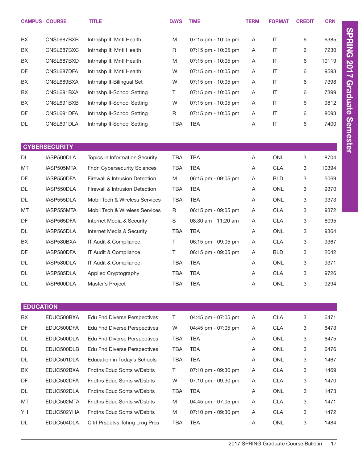|                  | <b>CAMPUS COURSE</b> | <b>TITLE</b>                        | <b>DAYS</b> | <b>TIME</b>         | <b>TERM</b> | <b>FORMAT</b>          | <b>CREDIT</b> | <b>CRN</b> |                 |
|------------------|----------------------|-------------------------------------|-------------|---------------------|-------------|------------------------|---------------|------------|-----------------|
| BX               | CNSL687BXB           | Intrnshp II: Mntl Health            | M           | 07:15 pm - 10:05 pm | A           | IT                     | 6             | 6385       | <b>SPRING</b>   |
| BX               | CNSL687BXC           | Intrnshp II: Mntl Health            | R           | 07:15 pm - 10:05 pm | Α           | $\mathsf{I}\mathsf{T}$ | 6             | 7230       |                 |
| BX               | CNSL687BXD           | Intrnshp II: Mntl Health            | M           | 07:15 pm - 10:05 pm | Α           | IT                     | 6             | 10119      |                 |
| DF               | CNSL687DFA           | Intrnshp II: Mntl Health            | W           | 07:15 pm - 10:05 pm | Α           | $\mathsf{I}\mathsf{T}$ | 6             | 9593       | <b>2017</b>     |
| BX               | CNSL689BXA           | Intrnshp II-Bilingual Set           | W           | 07:15 pm - 10:05 pm | Α           | IT                     | 6             | 7398       |                 |
| BX               | CNSL691BXA           | Intrnshp II-School Setting          | T           | 07:15 pm - 10:05 pm | Α           | IT                     | 6             | 7399       |                 |
| BX               | CNSL691BXB           | Intrnshp II-School Setting          | W           | 07:15 pm - 10:05 pm | Α           | IT                     | 6             | 9812       | Graduate        |
| DF               | CNSL691DFA           | Intrnshp II-School Setting          | R           | 07:15 pm - 10:05 pm | A           | IT                     | 6             | 8093       |                 |
| DL               | CNSL691DLA           | Intrnshp II-School Setting          | <b>TBA</b>  | TBA                 | Α           | IT                     | 6             | 7400       |                 |
|                  |                      |                                     |             |                     |             |                        |               |            |                 |
|                  | <b>CYBERSECURITY</b> |                                     |             |                     |             |                        |               |            | <b>Semester</b> |
| <b>DL</b>        | IASP500DLA           | Topics in Information Security      | <b>TBA</b>  | <b>TBA</b>          | Α           | <b>ONL</b>             | 3             | 8704       |                 |
| MT               | IASP505MTA           | <b>Fndn Cybersecurity Sciences</b>  | <b>TBA</b>  | <b>TBA</b>          | Α           | <b>CLA</b>             | 3             | 10394      |                 |
| DF               | IASP550DFA           | Firewall & Intrusion Detection      | M           | 06:15 pm - 09:05 pm | Α           | <b>BLD</b>             | 3             | 5069       |                 |
| DL               | IASP550DLA           | Firewall & Intrusion Detection      | <b>TBA</b>  | <b>TBA</b>          | Α           | <b>ONL</b>             | 3             | 9370       |                 |
| DL               | IASP555DLA           | Mobil Tech & Wireless Services      | <b>TBA</b>  | <b>TBA</b>          | Α           | <b>ONL</b>             | 3             | 9373       |                 |
| MT               | IASP555MTA           | Mobil Tech & Wireless Services      | R           | 06:15 pm - 09:05 pm | Α           | <b>CLA</b>             | 3             | 9372       |                 |
| DF               | IASP565DFA           | Internet Media & Security           | S           | 08:30 am - 11:20 am | Α           | <b>CLA</b>             | 3             | 8095       |                 |
| DL               | IASP565DLA           | Internet Media & Security           | <b>TBA</b>  | <b>TBA</b>          | A           | <b>ONL</b>             | 3             | 9364       |                 |
| BX               | IASP580BXA           | IT Audit & Compliance               | T.          | 06:15 pm - 09:05 pm | Α           | <b>CLA</b>             | 3             | 9367       |                 |
| DF               | IASP580DFA           | IT Audit & Compliance               | Τ           | 06:15 pm - 09:05 pm | Α           | <b>BLD</b>             | 3             | 2042       |                 |
| DL               | IASP580DLA           | IT Audit & Compliance               | <b>TBA</b>  | <b>TBA</b>          | Α           | <b>ONL</b>             | 3             | 9371       |                 |
| DL               | IASP585DLA           | Applied Cryptography                | TBA         | TBA                 | A           | <b>CLA</b>             | 3             | 9726       |                 |
| DL               | IASP600DLA           | Master's Project                    | TBA         | <b>TBA</b>          | Α           | ONL                    | 3             | 9294       |                 |
|                  |                      |                                     |             |                     |             |                        |               |            |                 |
| <b>EDUCATION</b> |                      |                                     |             |                     |             |                        |               |            |                 |
| BX               | EDUC500BXA           | <b>Edu Fnd Diverse Perspectives</b> | Τ           | 04:45 pm - 07:05 pm | Α           | <b>CLA</b>             | 3             | 6471       |                 |
| DF               | EDUC500DFA           | <b>Edu Fnd Diverse Perspectives</b> | W           | 04:45 pm - 07:05 pm | Α           | <b>CLA</b>             | 3             | 6473       |                 |
| DL               | EDUC500DLA           | <b>Edu Fnd Diverse Perspectives</b> | <b>TBA</b>  | <b>TBA</b>          | Α           | ONL                    | 3             | 6475       |                 |
| DL               | EDUC500DLB           | <b>Edu Fnd Diverse Perspectives</b> | <b>TBA</b>  | <b>TBA</b>          | Α           | ONL                    | 3             | 6476       |                 |

DL EDUC501DLA Education in Today's Schools TBA TBA A A ONL 3 1467 BX EDUC502BXA Fndtns Educ Sdnts w/Dsblts T 07:10 pm - 09:30 pm A CLA 3 1469 DF EDUC502DFA Fndtns Educ Sdnts w/Dsblts W 07:10 pm - 09:30 pm A CLA 3 1470 DL EDUC502DLA Fndtns Educ Sdnts w/Dsblts TBA TBA A A ONL 3 1473 MT EDUC502MTA Fndtns Educ Sdnts w/Dsblts M 04:45 pm - 07:05 pm A CLA 3 1471 YH EDUC502YHA Fndtns Educ Sdnts w/Dsblts M 07:10 pm - 09:30 pm A CLA 3 1472 DL EDUC504DLA Cltrl Prspctvs Tchng Lrng Prcs TBA TBA A A ONL 3 1484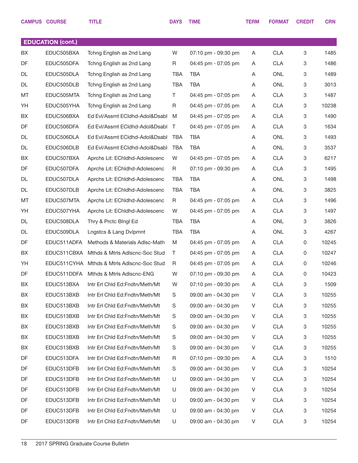|    | <b>CAMPUS COURSE</b>     | <b>TITLE</b>                               | <b>DAYS</b> | <b>TIME</b>         | <b>TERM</b> | <b>FORMAT</b> | <b>CREDIT</b> | <b>CRN</b> |
|----|--------------------------|--------------------------------------------|-------------|---------------------|-------------|---------------|---------------|------------|
|    |                          |                                            |             |                     |             |               |               |            |
|    | <b>EDUCATION (cont.)</b> |                                            |             |                     |             |               |               |            |
| BX | EDUC505BXA               | Tchng English as 2nd Lang                  | W           | 07:10 pm - 09:30 pm | A           | <b>CLA</b>    | 3             | 1485       |
| DF | EDUC505DFA               | Tchng English as 2nd Lang                  | R           | 04:45 pm - 07:05 pm | A           | <b>CLA</b>    | 3             | 1486       |
| DL | EDUC505DLA               | Tchng English as 2nd Lang                  | <b>TBA</b>  | <b>TBA</b>          | Α           | <b>ONL</b>    | 3             | 1489       |
| DL | EDUC505DLB               | Tchng English as 2nd Lang                  | <b>TBA</b>  | TBA                 | A           | <b>ONL</b>    | 3             | 3013       |
| MT | EDUC505MTA               | Tchng English as 2nd Lang                  | T.          | 04:45 pm - 07:05 pm | Α           | <b>CLA</b>    | 3             | 1487       |
| YH | EDUC505YHA               | Tchng English as 2nd Lang                  | R           | 04:45 pm - 07:05 pm | A           | <b>CLA</b>    | 3             | 10238      |
| BX | EDUC506BXA               | Ed Evl/Assmt ECIdhd-Adol&Dsabl             | M           | 04:45 pm - 07:05 pm | A           | <b>CLA</b>    | 3             | 1490       |
| DF | EDUC506DFA               | Ed Evl/Assmt ECIdhd-Adol&Dsabl             | T.          | 04:45 pm - 07:05 pm | A           | <b>CLA</b>    | 3             | 1634       |
| DL | EDUC506DLA               | Ed Evl/Assmt ECIdhd-Adol&Dsabl             | <b>TBA</b>  | <b>TBA</b>          | Α           | <b>ONL</b>    | 3             | 1493       |
| DL | EDUC506DLB               | Ed Evl/Assmt ECIdhd-Adol&Dsabl             | <b>TBA</b>  | TBA                 | A           | <b>ONL</b>    | 3             | 3537       |
| BX | EDUC507BXA               | Aprchs Lit: EChldhd-Adolescenc             | W           | 04:45 pm - 07:05 pm | Α           | <b>CLA</b>    | 3             | 6217       |
| DF | EDUC507DFA               | Aprchs Lit: EChldhd-Adolescenc             | R           | 07:10 pm - 09:30 pm | A           | <b>CLA</b>    | 3             | 1495       |
| DL | EDUC507DLA               | Aprchs Lit: EChldhd-Adolescenc             | <b>TBA</b>  | <b>TBA</b>          | A           | <b>ONL</b>    | 3             | 1498       |
| DL | EDUC507DLB               | Aprchs Lit: EChldhd-Adolescenc             | <b>TBA</b>  | TBA                 | Α           | <b>ONL</b>    | 3             | 3825       |
| MT | EDUC507MTA               | Aprchs Lit: EChldhd-Adolescenc             | R           | 04:45 pm - 07:05 pm | Α           | <b>CLA</b>    | 3             | 1496       |
| YH | EDUC507YHA               | Aprchs Lit: EChldhd-Adolescenc             | W           | 04:45 pm - 07:05 pm | A           | <b>CLA</b>    | 3             | 1497       |
| DL | EDUC508DLA               | Thry & Prctc Blngl Ed                      | <b>TBA</b>  | <b>TBA</b>          | Α           | <b>ONL</b>    | 3             | 3826       |
| DL | EDUC509DLA               | Lngstcs & Lang Dvlpmnt                     | <b>TBA</b>  | TBA                 | A           | <b>ONL</b>    | 3             | 4267       |
| DF | EDUC511ADFA              | Methods & Materials Adlsc-Math             | M           | 04:45 pm - 07:05 pm | Α           | <b>CLA</b>    | 0             | 10245      |
| BX | EDUC511CBXA              | Mthds & Mtrls Adlscnc-Soc Stud             | T.          | 04:45 pm - 07:05 pm | A           | <b>CLA</b>    | $\mathbf 0$   | 10247      |
| YH |                          | EDUC511CYHA Mthds & Mtrls Adlscnc-Soc Stud | R           | 04:45 pm - 07:05 pm | A           | <b>CLA</b>    | 0             | 10246      |
| DF |                          | EDUC511DDFA Mthds & Mtrls Adlscnc-ENG      | W           | 07:10 pm - 09:30 pm | Α           | <b>CLA</b>    | 0             | 10423      |
| BX | EDUC513BXA               | Intr Erl Chid Ed:Fndtn/Meth/Mt             | W           | 07:10 pm - 09:30 pm | A           | <b>CLA</b>    | 3             | 1509       |
| BX | EDUC513BXB               | Intr Erl Chid Ed:Fndtn/Meth/Mt             | S           | 09:00 am - 04:30 pm | V           | <b>CLA</b>    | 3             | 10255      |
| BX | EDUC513BXB               | Intr Erl Chid Ed:Fndtn/Meth/Mt             | S           | 09:00 am - 04:30 pm | V           | <b>CLA</b>    | 3             | 10255      |
| BX | EDUC513BXB               | Intr Erl Chid Ed:Fndtn/Meth/Mt             | S           | 09:00 am - 04:30 pm | V           | <b>CLA</b>    | 3             | 10255      |
| BX | EDUC513BXB               | Intr Erl Chid Ed:Fndtn/Meth/Mt             | S           | 09:00 am - 04:30 pm | V           | <b>CLA</b>    | 3             | 10255      |
| BX | EDUC513BXB               | Intr Erl Chid Ed:Fndtn/Meth/Mt             | S           | 09:00 am - 04:30 pm | V           | <b>CLA</b>    | 3             | 10255      |
| BX | EDUC513BXB               | Intr Erl Chid Ed:Fndtn/Meth/Mt             | S           | 09:00 am - 04:30 pm | V           | <b>CLA</b>    | 3             | 10255      |
| DF | EDUC513DFA               | Intr Erl Chid Ed:Fndtn/Meth/Mt             | R           | 07:10 pm - 09:30 pm | A           | <b>CLA</b>    | 3             | 1510       |
| DF | EDUC513DFB               | Intr Erl Chid Ed:Fndtn/Meth/Mt             | S           | 09:00 am - 04:30 pm | V           | <b>CLA</b>    | 3             | 10254      |
| DF | EDUC513DFB               | Intr Erl Chid Ed:Fndtn/Meth/Mt             | U           | 09:00 am - 04:30 pm | V           | <b>CLA</b>    | 3             | 10254      |
| DF | EDUC513DFB               | Intr Erl Chid Ed:Fndtn/Meth/Mt             | U           | 09:00 am - 04:30 pm | V           | <b>CLA</b>    | 3             | 10254      |
| DF | EDUC513DFB               | Intr Erl Chid Ed:Fndtn/Meth/Mt             | U           | 09:00 am - 04:30 pm | V           | <b>CLA</b>    | 3             | 10254      |
| DF | EDUC513DFB               | Intr Erl Chid Ed:Fndtn/Meth/Mt             | U           | 09:00 am - 04:30 pm | V           | <b>CLA</b>    | 3             | 10254      |
| DF | EDUC513DFB               | Intr Erl Chid Ed:Fndtn/Meth/Mt             | U           | 09:00 am - 04:30 pm | V           | <b>CLA</b>    | 3             | 10254      |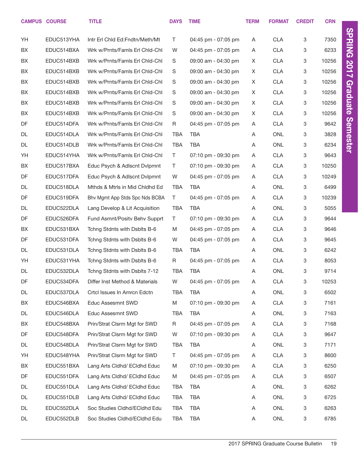|    | <b>CAMPUS COURSE</b> | <b>TITLE</b>                   | <b>DAYS</b> | <b>TIME</b>         | <b>TERM</b> | <b>FORMAT</b> | <b>CREDIT</b> | <b>CRN</b> |
|----|----------------------|--------------------------------|-------------|---------------------|-------------|---------------|---------------|------------|
| YH | EDUC513YHA           | Intr Erl Chid Ed:Fndtn/Meth/Mt | T           | 04:45 pm - 07:05 pm | A           | <b>CLA</b>    | 3             | 7350       |
| BX | EDUC514BXA           | Wrk w/Prnts/Famls Erl Chid-Chi | W           | 04:45 pm - 07:05 pm | A           | <b>CLA</b>    | 3             | 6233       |
| BX | EDUC514BXB           | Wrk w/Prnts/Famls Erl Chid-Chi | S           | 09:00 am - 04:30 pm | X           | <b>CLA</b>    | 3             | 10256      |
| BX | EDUC514BXB           | Wrk w/Prnts/Famls Erl Chid-Chi | S           | 09:00 am - 04:30 pm | X           | <b>CLA</b>    | 3             | 10256      |
| BX | EDUC514BXB           | Wrk w/Prnts/Famls Erl Chid-Chi | S           | 09:00 am - 04:30 pm | X           | <b>CLA</b>    | 3             | 10256      |
| BX | EDUC514BXB           | Wrk w/Prnts/Famls Erl Chid-Chi | S           | 09:00 am - 04:30 pm | X           | <b>CLA</b>    | 3             | 10256      |
| BX | EDUC514BXB           | Wrk w/Prnts/Famls Erl Chid-Chi | S           | 09:00 am - 04:30 pm | X           | <b>CLA</b>    | 3             | 10256      |
| BX | EDUC514BXB           | Wrk w/Prnts/Famls Erl Chid-Chi | S           | 09:00 am - 04:30 pm | X           | <b>CLA</b>    | 3             | 10256      |
| DF | EDUC514DFA           | Wrk w/Prnts/Famls Erl Chid-Chi | R           | 04:45 pm - 07:05 pm | A           | <b>CLA</b>    | 3             | 9642       |
| DL | EDUC514DLA           | Wrk w/Prnts/Famls Erl Chid-Chi | <b>TBA</b>  | <b>TBA</b>          | A           | <b>ONL</b>    | 3             | 3828       |
| DL | EDUC514DLB           | Wrk w/Prnts/Famls Erl Chid-Chi | <b>TBA</b>  | TBA                 | A           | <b>ONL</b>    | 3             | 6234       |
| YH | EDUC514YHA           | Wrk w/Prnts/Famls Erl Chid-Chi | $\top$      | 07:10 pm - 09:30 pm | A           | <b>CLA</b>    | 3             | 9643       |
| BX | EDUC517BXA           | Educ Psych & Adlscnt Dvlpmnt   | T           | 07:10 pm - 09:30 pm | A           | <b>CLA</b>    | 3             | 10250      |
| DF | EDUC517DFA           | Educ Psych & Adlscnt Dvlpmnt   | W           | 04:45 pm - 07:05 pm | A           | <b>CLA</b>    | 3             | 10249      |
| DL | EDUC518DLA           | Mthds & Mtrls in Mid Chidhd Ed | <b>TBA</b>  | <b>TBA</b>          | A           | <b>ONL</b>    | 3             | 6499       |
| DF | EDUC519DFA           | Bhy Mgmt App Stds Spc Nds BCBA | $\top$      | 04:45 pm - 07:05 pm | A           | <b>CLA</b>    | 3             | 10239      |
| DL | EDUC522DLA           | Lang Develop & Lit Acquisition | <b>TBA</b>  | <b>TBA</b>          | A           | <b>ONL</b>    | 3             | 5055       |
| DF | EDUC526DFA           | Fund Asmnt/Posity Behy Supprt  | $\top$      | 07:10 pm - 09:30 pm | A           | <b>CLA</b>    | 3             | 9644       |
| BX | EDUC531BXA           | Tchng Stdnts with Dsblts B-6   | M           | 04:45 pm - 07:05 pm | A           | <b>CLA</b>    | 3             | 9646       |
| DF | EDUC531DFA           | Tchng Stdnts with Dsblts B-6   | W           | 04:45 pm - 07:05 pm | A           | <b>CLA</b>    | 3             | 9645       |
| DL | EDUC531DLA           | Tchng Stdnts with Dsblts B-6   | <b>TBA</b>  | <b>TBA</b>          | A           | <b>ONL</b>    | 3             | 6242       |
| YH | EDUC531YHA           | Tchng Stdnts with Dsblts B-6   | R           | 04:45 pm - 07:05 pm | A           | <b>CLA</b>    | 3             | 8053       |
| DL | EDUC532DLA           | Tchng Stdnts with Dsblts 7-12  | <b>TBA</b>  | <b>TBA</b>          | A           | <b>ONL</b>    | 3             | 9714       |
| DF | EDUC534DFA           | Differ Inst Method & Materials | W           | 04:45 pm - 07:05 pm | A           | <b>CLA</b>    | 3             | 10253      |
| DL | EDUC537DLA           | Crtcl Issues In Amrcn Edctn    | <b>TBA</b>  | TBA                 | A           | ONL           | 3             | 6502       |
| BX | EDUC546BXA           | Educ Assesmnt SWD              | M           | 07:10 pm - 09:30 pm | A           | <b>CLA</b>    | 3             | 7161       |
| DL | EDUC546DLA           | Educ Assesmnt SWD              | <b>TBA</b>  | TBA                 | A           | ONL           | 3             | 7163       |
| BX | EDUC548BXA           | Prin/Strat Clsrm Mgt for SWD   | R           | 04:45 pm - 07:05 pm | A           | <b>CLA</b>    | 3             | 7168       |
| DF | EDUC548DFA           | Prin/Strat Clsrm Mgt for SWD   | W           | 07:10 pm - 09:30 pm | A           | <b>CLA</b>    | 3             | 9647       |
| DL | EDUC548DLA           | Prin/Strat Clsrm Mgt for SWD   | <b>TBA</b>  | <b>TBA</b>          | A           | ONL           | 3             | 7171       |
| YH | EDUC548YHA           | Prin/Strat Clsrm Mgt for SWD   | T           | 04:45 pm - 07:05 pm | A           | <b>CLA</b>    | 3             | 8600       |
| BX | EDUC551BXA           | Lang Arts Cldhd/ ECldhd Educ   | M           | 07:10 pm - 09:30 pm | A           | <b>CLA</b>    | 3             | 6250       |
| DF | EDUC551DFA           | Lang Arts Cldhd/ ECldhd Educ   | M           | 04:45 pm - 07:05 pm | A           | <b>CLA</b>    | 3             | 6507       |
| DL | EDUC551DLA           | Lang Arts Cldhd/ ECldhd Educ   | TBA         | TBA                 | A           | ONL           | 3             | 6262       |
| DL | EDUC551DLB           | Lang Arts Cldhd/ ECldhd Educ   | TBA         | TBA                 | A           | ONL           | 3             | 6725       |
| DL | EDUC552DLA           | Soc Studies Cldhd/ECldhd Edu   | TBA         | TBA                 | A           | ONL           | 3             | 6263       |
| DL | EDUC552DLB           | Soc Studies Cldhd/ECldhd Edu   | TBA         | TBA                 | A           | ONL           | 3             | 6785       |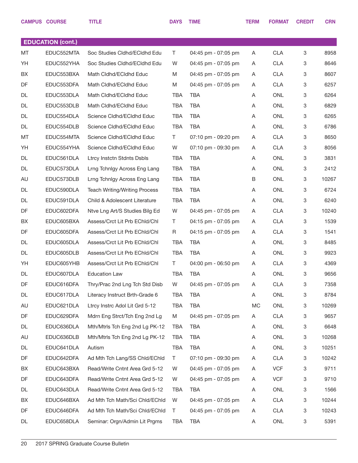|    | <b>CAMPUS COURSE</b>     | <b>TITLE</b>                             | <b>DAYS</b> | <b>TIME</b>         | <b>TERM</b> | <b>FORMAT</b> | <b>CREDIT</b> | <b>CRN</b> |
|----|--------------------------|------------------------------------------|-------------|---------------------|-------------|---------------|---------------|------------|
|    |                          |                                          |             |                     |             |               |               |            |
|    | <b>EDUCATION (cont.)</b> |                                          |             |                     |             |               |               |            |
| MT | EDUC552MTA               | Soc Studies Cldhd/ECldhd Edu             | T.          | 04:45 pm - 07:05 pm | Α           | <b>CLA</b>    | 3             | 8958       |
| YH | EDUC552YHA               | Soc Studies Cldhd/ECldhd Edu             | W           | 04:45 pm - 07:05 pm | A           | <b>CLA</b>    | 3             | 8646       |
| BX | EDUC553BXA               | Math Cldhd/ECldhd Educ                   | M           | 04:45 pm - 07:05 pm | Α           | <b>CLA</b>    | 3             | 8607       |
| DF | EDUC553DFA               | Math Cldhd/ECldhd Educ                   | M           | 04:45 pm - 07:05 pm | A           | <b>CLA</b>    | 3             | 6257       |
| DL | EDUC553DLA               | Math Cldhd/ECldhd Educ                   | <b>TBA</b>  | <b>TBA</b>          | Α           | <b>ONL</b>    | 3             | 6264       |
| DL | EDUC553DLB               | Math Cldhd/ECldhd Educ                   | <b>TBA</b>  | <b>TBA</b>          | Α           | <b>ONL</b>    | 3             | 6829       |
| DL | EDUC554DLA               | Science Cldhd/ECldhd Educ                | <b>TBA</b>  | <b>TBA</b>          | Α           | <b>ONL</b>    | 3             | 6265       |
| DL | EDUC554DLB               | Science Cldhd/ECldhd Educ                | <b>TBA</b>  | <b>TBA</b>          | A           | <b>ONL</b>    | 3             | 6786       |
| MT | EDUC554MTA               | Science Cldhd/ECldhd Educ                | T.          | 07:10 pm - 09:20 pm | Α           | <b>CLA</b>    | 3             | 8650       |
| YH | EDUC554YHA               | Science Cldhd/ECldhd Educ                | W           | 07:10 pm - 09:30 pm | A           | <b>CLA</b>    | 3             | 8056       |
| DL | EDUC561DLA               | Ltrcy Instctn Stdnts Dsbls               | <b>TBA</b>  | <b>TBA</b>          | Α           | <b>ONL</b>    | 3             | 3831       |
| DL | EDUC573DLA               | Lrng Tchnlgy Across Eng Lang             | <b>TBA</b>  | <b>TBA</b>          | A           | <b>ONL</b>    | 3             | 2412       |
| AU | EDUC573DLB               | Lrng Tchnlgy Across Eng Lang             | <b>TBA</b>  | <b>TBA</b>          | B           | <b>ONL</b>    | 3             | 10267      |
| DL | EDUC590DLA               | <b>Teach Writing/Writing Process</b>     | <b>TBA</b>  | <b>TBA</b>          | Α           | <b>ONL</b>    | 3             | 6724       |
| DL | EDUC591DLA               | <b>Child &amp; Adolescent Literature</b> | <b>TBA</b>  | <b>TBA</b>          | Α           | ONL           | 3             | 6240       |
| DF | EDUC602DFA               | Ntve Lng Art/S Studies Bilg Ed           | W           | 04:45 pm - 07:05 pm | A           | <b>CLA</b>    | 3             | 10240      |
| BX | EDUC605BXA               | Assess/Crct Lit Prb EChld/Chl            | Τ           | 04:15 pm - 07:05 pm | Α           | <b>CLA</b>    | 3             | 1539       |
| DF | EDUC605DFA               | Assess/Crct Lit Prb EChld/Chl            | R           | 04:15 pm - 07:05 pm | A           | <b>CLA</b>    | 3             | 1541       |
| DL | EDUC605DLA               | Assess/Crct Lit Prb EChld/Chl            | <b>TBA</b>  | <b>TBA</b>          | Α           | <b>ONL</b>    | 3             | 8485       |
| DL | EDUC605DLB               | Assess/Crct Lit Prb EChld/Chl            | <b>TBA</b>  | <b>TBA</b>          | A           | <b>ONL</b>    | 3             | 9923       |
| YH | EDUC605YHB               | Assess/Crct Lit Prb EChld/Chl            | T.          | 04:00 pm - 06:50 pm | Α           | <b>CLA</b>    | 3             | 4369       |
| DL | EDUC607DLA               | <b>Education Law</b>                     | TBA         | <b>TBA</b>          | A           | <b>ONL</b>    | 3             | 9656       |
| DF | EDUC616DFA               | Thry/Prac 2nd Lng Tch Std Disb           | W           | 04:45 pm - 07:05 pm | Α           | <b>CLA</b>    | 3             | 7358       |
| DL | EDUC617DLA               | Literacy Instruct Brth-Grade 6           | TBA         | <b>TBA</b>          | Α           | ONL           | 3             | 8784       |
| AU | EDUC621DLA               | Ltrcy Instrc Adol Lit Grd 5-12           | <b>TBA</b>  | <b>TBA</b>          | МC          | ONL           | 3             | 10269      |
| DF | EDUC629DFA               | Mdrn Eng Strct/Tch Eng 2nd Lg            | M           | 04:45 pm - 07:05 pm | Α           | <b>CLA</b>    | 3             | 9657       |
| DL | EDUC636DLA               | Mth/Mtrls Tch Eng 2nd Lg PK-12           | TBA         | TBA                 | Α           | ONL           | 3             | 6648       |
| AU | EDUC636DLB               | Mth/Mtrls Tch Eng 2nd Lg PK-12           | <b>TBA</b>  | <b>TBA</b>          | Α           | ONL           | 3             | 10268      |
| DL | EDUC641DLA               | Autism                                   | <b>TBA</b>  | <b>TBA</b>          | Α           | ONL           | 3             | 10251      |
| DF | EDUC642DFA               | Ad Mth Tch Lang/SS Chld/EChld            | $\top$      | 07:10 pm - 09:30 pm | Α           | <b>CLA</b>    | 3             | 10242      |
| BX | EDUC643BXA               | Read/Write Cntnt Area Grd 5-12           | W           | 04:45 pm - 07:05 pm | A           | <b>VCF</b>    | 3             | 9711       |
| DF | EDUC643DFA               | Read/Write Cntnt Area Grd 5-12           | W           | 04:45 pm - 07:05 pm | A           | <b>VCF</b>    | 3             | 9710       |
| DL | EDUC643DLA               | Read/Write Cntnt Area Grd 5-12           | TBA         | <b>TBA</b>          | Α           | ONL           | 3             | 1566       |
| BX | EDUC646BXA               | Ad Mth Tch Math/Sci Chld/EChld           | W           | 04:45 pm - 07:05 pm | Α           | <b>CLA</b>    | 3             | 10244      |
| DF | EDUC646DFA               | Ad Mth Tch Math/Sci Chld/EChld           | $\top$      | 04:45 pm - 07:05 pm | A           | <b>CLA</b>    | 3             | 10243      |
| DL | EDUC658DLA               | Seminar: Orgn/Admin Lit Prgms            | <b>TBA</b>  | <b>TBA</b>          | A           | ONL           | 3             | 5391       |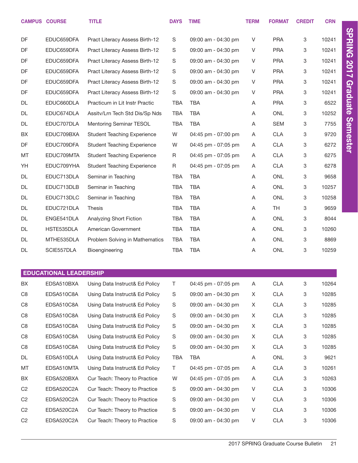|                | <b>CAMPUS COURSE</b>          | <b>TITLE</b>                       | <b>DAYS</b>   | <b>TIME</b>         | <b>TERM</b> | <b>FORMAT</b> | <b>CREDIT</b> | <b>CRN</b> |                 |
|----------------|-------------------------------|------------------------------------|---------------|---------------------|-------------|---------------|---------------|------------|-----------------|
| DF             | EDUC659DFA                    | Pract Literacy Assess Birth-12     | S             | 09:00 am - 04:30 pm | V           | <b>PRA</b>    | 3             | 10241      | <b>SPRING</b>   |
| DF             | EDUC659DFA                    | Pract Literacy Assess Birth-12     | S             | 09:00 am - 04:30 pm | V           | <b>PRA</b>    | 3             | 10241      |                 |
| DF             | EDUC659DFA                    | Pract Literacy Assess Birth-12     | S             | 09:00 am - 04:30 pm | V           | <b>PRA</b>    | 3             | 10241      |                 |
| DF             | EDUC659DFA                    | Pract Literacy Assess Birth-12     | S             | 09:00 am - 04:30 pm | V           | <b>PRA</b>    | 3             | 10241      | 2017            |
| DF             | EDUC659DFA                    | Pract Literacy Assess Birth-12     | S             | 09:00 am - 04:30 pm | V           | <b>PRA</b>    | 3             | 10241      |                 |
| DF             | EDUC659DFA                    | Pract Literacy Assess Birth-12     | S             | 09:00 am - 04:30 pm | V           | <b>PRA</b>    | 3             | 10241      | <b>Graduate</b> |
| DL             | EDUC660DLA                    | Practicum in Lit Instr Practic     | <b>TBA</b>    | <b>TBA</b>          | Α           | <b>PRA</b>    | 3             | 6522       |                 |
| DL             | EDUC674DLA                    | Assitv/Lrn Tech Std Dis/Sp Nds     | <b>TBA</b>    | <b>TBA</b>          | Α           | <b>ONL</b>    | 3             | 10252      |                 |
| DL             | EDUC707DLA                    | Mentoring Seminar TESOL            | <b>TBA</b>    | <b>TBA</b>          | Α           | <b>SEM</b>    | 3             | 7755       |                 |
| BX             | EDUC709BXA                    | <b>Student Teaching Experience</b> | W             | 04:45 pm - 07:00 pm | Α           | <b>CLA</b>    | 3             | 9720       | <b>Semester</b> |
| DF             | EDUC709DFA                    | <b>Student Teaching Experience</b> | W             | 04:45 pm - 07:05 pm | Α           | <b>CLA</b>    | 3             | 6272       |                 |
| MT             | EDUC709MTA                    | <b>Student Teaching Experience</b> | R             | 04:45 pm - 07:05 pm | Α           | <b>CLA</b>    | 3             | 6275       |                 |
| YH             | EDUC709YHA                    | <b>Student Teaching Experience</b> | R             | 04:45 pm - 07:05 pm | Α           | <b>CLA</b>    | 3             | 6278       |                 |
| DL             | EDUC713DLA                    | Seminar in Teaching                | TBA           | <b>TBA</b>          | A           | <b>ONL</b>    | 3             | 9658       |                 |
| DL             | EDUC713DLB                    | Seminar in Teaching                | TBA           | <b>TBA</b>          | Α           | <b>ONL</b>    | 3             | 10257      |                 |
| DL             | EDUC713DLC                    | Seminar in Teaching                | TBA           | <b>TBA</b>          | Α           | <b>ONL</b>    | 3             | 10258      |                 |
| DL             | EDUC721DLA                    | <b>Thesis</b>                      | TBA           | <b>TBA</b>          | Α           | TH            | 3             | 9659       |                 |
| DL             | ENGE541DLA                    | Analyzing Short Fiction            | TBA           | <b>TBA</b>          | Α           | <b>ONL</b>    | 3             | 8044       |                 |
| DL             | HSTE535DLA                    | American Government                | <b>TBA</b>    | <b>TBA</b>          | A           | <b>ONL</b>    | 3             | 10260      |                 |
| DL             | MTHE535DLA                    | Problem Solving in Mathematics     | <b>TBA</b>    | <b>TBA</b>          | A           | <b>ONL</b>    | 3             | 8869       |                 |
| DL             | SCIE557DLA                    | Bioengineering                     | <b>TBA</b>    | <b>TBA</b>          | Α           | ONL           | 3             | 10259      |                 |
|                |                               |                                    |               |                     |             |               |               |            |                 |
|                | <b>EDUCATIONAL LEADERSHIP</b> |                                    |               |                     |             |               |               |            |                 |
| BX             | EDSA510BXA                    | Using Data Instruct& Ed Policy     | T             | 04:45 pm - 07:05 pm | A           | <b>CLA</b>    | 3             | 10264      |                 |
| C <sub>8</sub> | EDSA510C8A                    | Using Data Instruct& Ed Policy     | S             | 09:00 am - 04:30 pm | X           | <b>CLA</b>    | 3             | 10285      |                 |
| C <sub>8</sub> | EDSA510C8A                    | Using Data Instruct& Ed Policy     | $\mathbb S$   | 09:00 am - 04:30 pm | X           | <b>CLA</b>    | 3             | 10285      |                 |
| C <sub>8</sub> | EDSA510C8A                    | Using Data Instruct& Ed Policy     | $\mathbb S$   | 09:00 am - 04:30 pm | X           | <b>CLA</b>    | 3             | 10285      |                 |
| C <sub>8</sub> | EDSA510C8A                    | Using Data Instruct& Ed Policy     | $\mathbb S$   | 09:00 am - 04:30 pm | X           | <b>CLA</b>    | 3             | 10285      |                 |
| C <sub>8</sub> | EDSA510C8A                    | Using Data Instruct& Ed Policy     | $\mathbb S$   | 09:00 am - 04:30 pm | X           | <b>CLA</b>    | 3             | 10285      |                 |
| C <sub>8</sub> | EDSA510C8A                    | Using Data Instruct& Ed Policy     | $\mathbf S$   | 09:00 am - 04:30 pm | X           | <b>CLA</b>    | 3             | 10285      |                 |
| DL             | EDSA510DLA                    | Using Data Instruct& Ed Policy     | <b>TBA</b>    | TBA                 | Α           | ONL           | 3             | 9621       |                 |
| MT             | EDSA510MTA                    | Using Data Instruct& Ed Policy     | T             | 04:45 pm - 07:05 pm | Α           | <b>CLA</b>    | 3             | 10261      |                 |
| BX             | EDSA520BXA                    | Cur Teach: Theory to Practice      | W             | 04:45 pm - 07:05 pm | A           | <b>CLA</b>    | 3             | 10263      |                 |
| C <sub>2</sub> | EDSA520C2A                    | Cur Teach: Theory to Practice      | $\mathbf S$   | 09:00 am - 04:30 pm | V           | <b>CLA</b>    | 3             | 10306      |                 |
| C <sub>2</sub> | EDSA520C2A                    | Cur Teach: Theory to Practice      | $\mathsf S$   | 09:00 am - 04:30 pm | V           | <b>CLA</b>    | 3             | 10306      |                 |
| C <sub>2</sub> | EDSA520C2A                    | Cur Teach: Theory to Practice      | $\mathsf S$   | 09:00 am - 04:30 pm | V           | <b>CLA</b>    | 3             | 10306      |                 |
| C <sub>2</sub> | EDSA520C2A                    | Cur Teach: Theory to Practice      | ${\mathsf S}$ | 09:00 am - 04:30 pm | V           | <b>CLA</b>    | 3             | 10306      |                 |

2017 SPRING Graduate Course Bulletin 21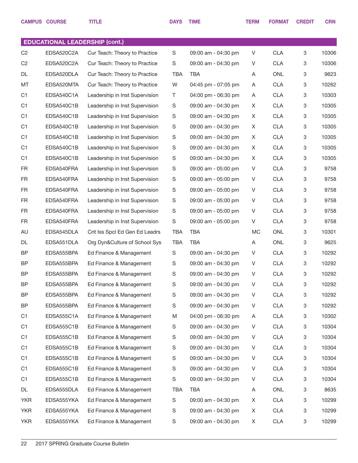|                | <b>CAMPUS COURSE</b>                  | <b>TITLE</b>                   | <b>DAYS</b> | <b>TIME</b>         | <b>TERM</b> | <b>FORMAT</b> | <b>CREDIT</b>             | <b>CRN</b> |
|----------------|---------------------------------------|--------------------------------|-------------|---------------------|-------------|---------------|---------------------------|------------|
|                |                                       |                                |             |                     |             |               |                           |            |
|                | <b>EDUCATIONAL LEADERSHIP (cont.)</b> |                                |             |                     |             |               |                           |            |
| C <sub>2</sub> | EDSA520C2A                            | Cur Teach: Theory to Practice  | S           | 09:00 am - 04:30 pm | V           | <b>CLA</b>    | 3                         | 10306      |
| C <sub>2</sub> | EDSA520C2A                            | Cur Teach: Theory to Practice  | S           | 09:00 am - 04:30 pm | V           | <b>CLA</b>    | 3                         | 10306      |
| DL             | EDSA520DLA                            | Cur Teach: Theory to Practice  | <b>TBA</b>  | <b>TBA</b>          | Α           | <b>ONL</b>    | 3                         | 9623       |
| MT             | EDSA520MTA                            | Cur Teach: Theory to Practice  | W           | 04:45 pm - 07:05 pm | Α           | <b>CLA</b>    | 3                         | 10262      |
| C <sub>1</sub> | EDSA540C1A                            | Leadership in Inst Supervision | T           | 04:00 pm - 06:30 pm | Α           | <b>CLA</b>    | 3                         | 10303      |
| C1             | EDSA540C1B                            | Leadership in Inst Supervision | S           | 09:00 am - 04:30 pm | X           | <b>CLA</b>    | 3                         | 10305      |
| C <sub>1</sub> | EDSA540C1B                            | Leadership in Inst Supervision | S           | 09:00 am - 04:30 pm | X           | <b>CLA</b>    | 3                         | 10305      |
| C1             | EDSA540C1B                            | Leadership in Inst Supervision | S           | 09:00 am - 04:30 pm | X           | <b>CLA</b>    | 3                         | 10305      |
| C <sub>1</sub> | EDSA540C1B                            | Leadership in Inst Supervision | S           | 09:00 am - 04:30 pm | X           | <b>CLA</b>    | $\ensuremath{\mathsf{3}}$ | 10305      |
| C <sub>1</sub> | EDSA540C1B                            | Leadership in Inst Supervision | S           | 09:00 am - 04:30 pm | X           | <b>CLA</b>    | 3                         | 10305      |
| C <sub>1</sub> | EDSA540C1B                            | Leadership in Inst Supervision | S           | 09:00 am - 04:30 pm | X           | <b>CLA</b>    | 3                         | 10305      |
| <b>FR</b>      | EDSA540FRA                            | Leadership in Inst Supervision | S           | 09:00 am - 05:00 pm | V           | <b>CLA</b>    | 3                         | 9758       |
| <b>FR</b>      | EDSA540FRA                            | Leadership in Inst Supervision | S           | 09:00 am - 05:00 pm | V           | <b>CLA</b>    | 3                         | 9758       |
| <b>FR</b>      | EDSA540FRA                            | Leadership in Inst Supervision | S           | 09:00 am - 05:00 pm | V           | <b>CLA</b>    | 3                         | 9758       |
| <b>FR</b>      | EDSA540FRA                            | Leadership in Inst Supervision | S           | 09:00 am - 05:00 pm | V           | <b>CLA</b>    | 3                         | 9758       |
| <b>FR</b>      | EDSA540FRA                            | Leadership in Inst Supervision | S           | 09:00 am - 05:00 pm | V           | <b>CLA</b>    | 3                         | 9758       |
| <b>FR</b>      | EDSA540FRA                            | Leadership in Inst Supervision | S           | 09:00 am - 05:00 pm | V           | <b>CLA</b>    | 3                         | 9758       |
| AU             | EDSA545DLA                            | Crit Iss SpcI Ed Gen Ed Leadrs | <b>TBA</b>  | <b>TBA</b>          | MC          | <b>ONL</b>    | 3                         | 10301      |
| DL             | EDSA551DLA                            | Org Dyn&Culture of School Sys  | <b>TBA</b>  | <b>TBA</b>          | Α           | <b>ONL</b>    | 3                         | 9625       |
| <b>BP</b>      | EDSA555BPA                            | Ed Finance & Management        | S           | 09:00 am - 04:30 pm | V           | <b>CLA</b>    | 3                         | 10292      |
| <b>BP</b>      | EDSA555BPA                            | Ed Finance & Management        | S           | 09:00 am - 04:30 pm | V           | <b>CLA</b>    | 3                         | 10292      |
| <b>BP</b>      | EDSA555BPA                            | Ed Finance & Management        | S           | 09:00 am - 04:30 pm | V           | <b>CLA</b>    | 3                         | 10292      |
| <b>BP</b>      | EDSA555BPA                            | Ed Finance & Management        | S           | 09:00 am - 04:30 pm | V           | <b>CLA</b>    | 3                         | 10292      |
| <b>BP</b>      | EDSA555BPA                            | Ed Finance & Management        | S           | 09:00 am - 04:30 pm | V           | <b>CLA</b>    | 3                         | 10292      |
| <b>BP</b>      | EDSA555BPA                            | Ed Finance & Management        | S           | 09:00 am - 04:30 pm | V           | <b>CLA</b>    | 3                         | 10292      |
| C <sub>1</sub> | EDSA555C1A                            | Ed Finance & Management        | M           | 04:00 pm - 06:30 pm | A           | <b>CLA</b>    | 3                         | 10302      |
| C <sub>1</sub> | EDSA555C1B                            | Ed Finance & Management        | S           | 09:00 am - 04:30 pm | V           | <b>CLA</b>    | 3                         | 10304      |
| C <sub>1</sub> | EDSA555C1B                            | Ed Finance & Management        | S           | 09:00 am - 04:30 pm | V           | <b>CLA</b>    | 3                         | 10304      |
| C <sub>1</sub> | EDSA555C1B                            | Ed Finance & Management        | S           | 09:00 am - 04:30 pm | V           | <b>CLA</b>    | 3                         | 10304      |
| C <sub>1</sub> | EDSA555C1B                            | Ed Finance & Management        | S           | 09:00 am - 04:30 pm | V           | <b>CLA</b>    | 3                         | 10304      |
| C <sub>1</sub> | EDSA555C1B                            | Ed Finance & Management        | S           | 09:00 am - 04:30 pm | V           | <b>CLA</b>    | 3                         | 10304      |
| C <sub>1</sub> | EDSA555C1B                            | Ed Finance & Management        | S           | 09:00 am - 04:30 pm | V           | <b>CLA</b>    | 3                         | 10304      |
| DL             | EDSA555DLA                            | Ed Finance & Management        | <b>TBA</b>  | TBA                 | Α           | ONL           | 3                         | 8635       |
| <b>YKR</b>     | EDSA555YKA                            | Ed Finance & Management        | S           | 09:00 am - 04:30 pm | X           | <b>CLA</b>    | 3                         | 10299      |
| <b>YKR</b>     | EDSA555YKA                            | Ed Finance & Management        | S           | 09:00 am - 04:30 pm | X           | <b>CLA</b>    | 3                         | 10299      |
| <b>YKR</b>     | EDSA555YKA                            | Ed Finance & Management        | S           | 09:00 am - 04:30 pm | X           | <b>CLA</b>    | 3                         | 10299      |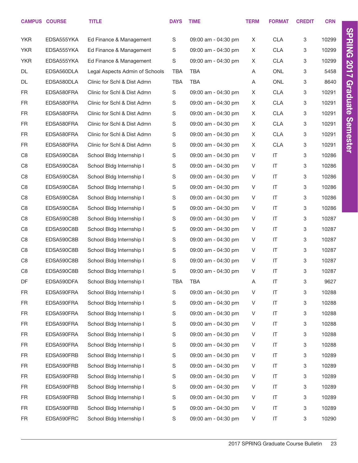|                | <b>CAMPUS COURSE</b> | <b>TITLE</b>                   | <b>DAYS</b> | <b>TIME</b>         | <b>TERM</b> | <b>FORMAT</b>          | <b>CREDIT</b> | <b>CRN</b> |                 |
|----------------|----------------------|--------------------------------|-------------|---------------------|-------------|------------------------|---------------|------------|-----------------|
| <b>YKR</b>     | EDSA555YKA           | Ed Finance & Management        | S           | 09:00 am - 04:30 pm | X           | <b>CLA</b>             | 3             | 10299      | <b>SPRING</b>   |
| <b>YKR</b>     | EDSA555YKA           | Ed Finance & Management        | S           | 09:00 am - 04:30 pm | X           | <b>CLA</b>             | 3             | 10299      |                 |
| <b>YKR</b>     | EDSA555YKA           | Ed Finance & Management        | $\mathbf S$ | 09:00 am - 04:30 pm | X           | <b>CLA</b>             | 3             | 10299      |                 |
| DL             | EDSA560DLA           | Legal Aspects Admin of Schools | <b>TBA</b>  | <b>TBA</b>          | Α           | <b>ONL</b>             | 3             | 5458       | 2017            |
| DL             | EDSA580DLA           | Clinic for Schl & Dist Admn    | <b>TBA</b>  | <b>TBA</b>          | Α           | <b>ONL</b>             | 3             | 8640       |                 |
| FR             | EDSA580FRA           | Clinic for Schl & Dist Admn    | S           | 09:00 am - 04:30 pm | X           | <b>CLA</b>             | 3             | 10291      | Graduate        |
| <b>FR</b>      | EDSA580FRA           | Clinic for Schl & Dist Admn    | S           | 09:00 am - 04:30 pm | X           | <b>CLA</b>             | 3             | 10291      |                 |
| <b>FR</b>      | EDSA580FRA           | Clinic for Schl & Dist Admn    | S           | 09:00 am - 04:30 pm | X           | <b>CLA</b>             | 3             | 10291      |                 |
| <b>FR</b>      | EDSA580FRA           | Clinic for Schl & Dist Admn    | S           | 09:00 am - 04:30 pm | X           | <b>CLA</b>             | 3             | 10291      |                 |
| <b>FR</b>      | EDSA580FRA           | Clinic for Schl & Dist Admn    | S           | 09:00 am - 04:30 pm | X           | <b>CLA</b>             | 3             | 10291      |                 |
| <b>FR</b>      | EDSA580FRA           | Clinic for Schl & Dist Admn    | S           | 09:00 am - 04:30 pm | X           | <b>CLA</b>             | 3             | 10291      | <b>Semester</b> |
| C <sub>8</sub> | EDSA590C8A           | School Bldg Internship I       | S           | 09:00 am - 04:30 pm | V           | $\mathsf{I}\mathsf{T}$ | 3             | 10286      |                 |
| C <sub>8</sub> | EDSA590C8A           | School Bldg Internship I       | S           | 09:00 am - 04:30 pm | V           | $\mathsf{I}$           | 3             | 10286      |                 |
| C <sub>8</sub> | EDSA590C8A           | School Bldg Internship I       | S           | 09:00 am - 04:30 pm | V           | $\mathsf{I}\mathsf{T}$ | 3             | 10286      |                 |
| C <sub>8</sub> | EDSA590C8A           | School Bldg Internship I       | S           | 09:00 am - 04:30 pm | V           | $\mathsf{I}$           | 3             | 10286      |                 |
| C <sub>8</sub> | EDSA590C8A           | School Bldg Internship I       | S           | 09:00 am - 04:30 pm | V           | $\mathsf{I}\mathsf{T}$ | 3             | 10286      |                 |
| C <sub>8</sub> | EDSA590C8A           | School Bldg Internship I       | S           | 09:00 am - 04:30 pm | V           | $\mathsf{I}$           | 3             | 10286      |                 |
| C <sub>8</sub> | EDSA590C8B           | School Bldg Internship I       | S           | 09:00 am - 04:30 pm | V           | $\mathsf{I}\mathsf{T}$ | 3             | 10287      |                 |
| C <sub>8</sub> | EDSA590C8B           | School Bldg Internship I       | S           | 09:00 am - 04:30 pm | V           | $\mathsf{I}$           | 3             | 10287      |                 |
| C <sub>8</sub> | EDSA590C8B           | School Bldg Internship I       | S           | 09:00 am - 04:30 pm | V           | $\mathsf{I}\mathsf{T}$ | 3             | 10287      |                 |
| C <sub>8</sub> | EDSA590C8B           | School Bldg Internship I       | S           | 09:00 am - 04:30 pm | V           | $\mathsf{I}$           | 3             | 10287      |                 |
| C <sub>8</sub> | EDSA590C8B           | School Bldg Internship I       | S           | 09:00 am - 04:30 pm | V           | $\mathsf{I}\mathsf{T}$ | 3             | 10287      |                 |
| C <sub>8</sub> | EDSA590C8B           | School Bldg Internship I       | S           | 09:00 am - 04:30 pm | V           | $\mathsf{I}\mathsf{T}$ | 3             | 10287      |                 |
| DF             | EDSA590DFA           | School Bldg Internship I       | <b>TBA</b>  | <b>TBA</b>          | Α           | $\mathsf{I}\mathsf{T}$ | 3             | 9627       |                 |
| FR             | EDSA590FRA           | School Bldg Internship I       | S           | 09:00 am - 04:30 pm | V           | $\mathsf{I}\mathsf{T}$ | 3             | 10288      |                 |
| FR             | EDSA590FRA           | School Bldg Internship I       | S           | 09:00 am - 04:30 pm | V           | $\mathsf{I}\mathsf{T}$ | 3             | 10288      |                 |
| FR             | EDSA590FRA           | School Bldg Internship I       | S           | 09:00 am - 04:30 pm | V           | $\mathsf{I}\mathsf{T}$ | 3             | 10288      |                 |
| FR             | EDSA590FRA           | School Bldg Internship I       | S           | 09:00 am - 04:30 pm | V           | $\mathsf{I}\mathsf{T}$ | 3             | 10288      |                 |
| FR             | EDSA590FRA           | School Bldg Internship I       | S           | 09:00 am - 04:30 pm | V           | $\mathsf{I}\mathsf{T}$ | 3             | 10288      |                 |
| FR             | EDSA590FRA           | School Bldg Internship I       | S           | 09:00 am - 04:30 pm | V           | $\mathsf{I}\mathsf{T}$ | 3             | 10288      |                 |
| FR             | EDSA590FRB           | School Bldg Internship I       | $\mathbb S$ | 09:00 am - 04:30 pm | V           | $\mathsf{I}\mathsf{T}$ | 3             | 10289      |                 |
| FR             | EDSA590FRB           | School Bldg Internship I       | S           | 09:00 am - 04:30 pm | V           | $\mathsf{I}\mathsf{T}$ | 3             | 10289      |                 |
| FR             | EDSA590FRB           | School Bldg Internship I       | S           | 09:00 am - 04:30 pm | V           | $\mathsf{I}\mathsf{T}$ | 3             | 10289      |                 |
| FR             | EDSA590FRB           | School Bldg Internship I       | S           | 09:00 am - 04:30 pm | V           | $\mathsf{I}\mathsf{T}$ | 3             | 10289      |                 |
| FR             | EDSA590FRB           | School Bldg Internship I       | S           | 09:00 am - 04:30 pm | V           | $\mathsf{I}\mathsf{T}$ | 3             | 10289      |                 |
| FR             | EDSA590FRB           | School Bldg Internship I       | S           | 09:00 am - 04:30 pm | V           | $\mathsf{I}\mathsf{T}$ | 3             | 10289      |                 |
| <b>FR</b>      | EDSA590FRC           | School Bldg Internship I       | $\mathbb S$ | 09:00 am - 04:30 pm | V           | $\sf IT$               | 3             | 10290      |                 |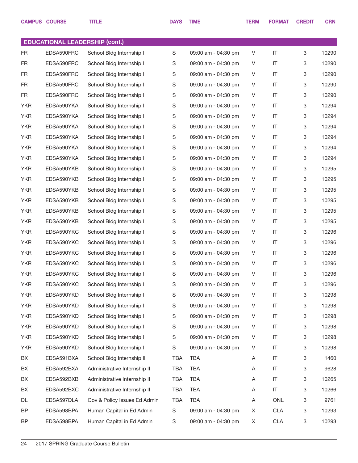|            | <b>CAMPUS COURSE</b>                  | <b>TITLE</b>                 | <b>DAYS</b> | <b>TIME</b>         | <b>TERM</b> | <b>FORMAT</b> | <b>CREDIT</b> | <b>CRN</b> |
|------------|---------------------------------------|------------------------------|-------------|---------------------|-------------|---------------|---------------|------------|
|            |                                       |                              |             |                     |             |               |               |            |
|            | <b>EDUCATIONAL LEADERSHIP (cont.)</b> |                              |             |                     |             |               |               |            |
| FR.        | EDSA590FRC                            | School Bldg Internship I     | $\mathbf S$ | 09:00 am - 04:30 pm | V           | IT            | 3             | 10290      |
| FR.        | EDSA590FRC                            | School Bldg Internship I     | S           | 09:00 am - 04:30 pm | V           | IT            | 3             | 10290      |
| FR.        | EDSA590FRC                            | School Bldg Internship I     | S           | 09:00 am - 04:30 pm | V           | IT            | 3             | 10290      |
| FR.        | EDSA590FRC                            | School Bldg Internship I     | S           | 09:00 am - 04:30 pm | V           | IT            | 3             | 10290      |
| FR         | EDSA590FRC                            | School Bldg Internship I     | S           | 09:00 am - 04:30 pm | V           | IT            | 3             | 10290      |
| <b>YKR</b> | EDSA590YKA                            | School Bldg Internship I     | S           | 09:00 am - 04:30 pm | V           | IT            | 3             | 10294      |
| <b>YKR</b> | EDSA590YKA                            | School Bldg Internship I     | S           | 09:00 am - 04:30 pm | V           | IT            | 3             | 10294      |
| <b>YKR</b> | EDSA590YKA                            | School Bldg Internship I     | S           | 09:00 am - 04:30 pm | V           | IT            | 3             | 10294      |
| <b>YKR</b> | EDSA590YKA                            | School Bldg Internship I     | S           | 09:00 am - 04:30 pm | V           | IT            | 3             | 10294      |
| <b>YKR</b> | EDSA590YKA                            | School Bldg Internship I     | S           | 09:00 am - 04:30 pm | V           | IT            | 3             | 10294      |
| <b>YKR</b> | EDSA590YKA                            | School Bldg Internship I     | S           | 09:00 am - 04:30 pm | V           | IT            | 3             | 10294      |
| <b>YKR</b> | EDSA590YKB                            | School Bldg Internship I     | S           | 09:00 am - 04:30 pm | V           | IT            | 3             | 10295      |
| <b>YKR</b> | EDSA590YKB                            | School Bldg Internship I     | S           | 09:00 am - 04:30 pm | V           | IT            | 3             | 10295      |
| <b>YKR</b> | EDSA590YKB                            | School Bldg Internship I     | S           | 09:00 am - 04:30 pm | V           | IT            | 3             | 10295      |
| <b>YKR</b> | EDSA590YKB                            | School Bldg Internship I     | S           | 09:00 am - 04:30 pm | V           | IT            | 3             | 10295      |
| <b>YKR</b> | EDSA590YKB                            | School Bldg Internship I     | S           | 09:00 am - 04:30 pm | V           | IT            | 3             | 10295      |
| <b>YKR</b> | EDSA590YKB                            | School Bldg Internship I     | S           | 09:00 am - 04:30 pm | V           | IT            | 3             | 10295      |
| <b>YKR</b> | EDSA590YKC                            | School Bldg Internship I     | S           | 09:00 am - 04:30 pm | V           | IT            | 3             | 10296      |
| <b>YKR</b> | EDSA590YKC                            | School Bldg Internship I     | S           | 09:00 am - 04:30 pm | V           | IT            | 3             | 10296      |
| <b>YKR</b> | EDSA590YKC                            | School Bldg Internship I     | S           | 09:00 am - 04:30 pm | V           | IT            | 3             | 10296      |
| <b>YKR</b> | EDSA590YKC                            | School Bldg Internship I     | S           | 09:00 am - 04:30 pm | V           | IT            | 3             | 10296      |
| <b>YKR</b> | EDSA590YKC                            | School Bldg Internship I     | S           | 09:00 am - 04:30 pm | V           | IT            | 3             | 10296      |
| <b>YKR</b> | EDSA590YKC                            | School Bldg Internship I     | $\mathsf S$ | 09:00 am - 04:30 pm | V           | IT            | 3             | 10296      |
| <b>YKR</b> | EDSA590YKD                            | School Bldg Internship I     | S           | 09:00 am - 04:30 pm | V           | $\sf IT$      | 3             | 10298      |
| <b>YKR</b> | EDSA590YKD                            | School Bldg Internship I     | $\mathsf S$ | 09:00 am - 04:30 pm | V           | $\sf IT$      | 3             | 10298      |
| <b>YKR</b> | EDSA590YKD                            | School Bldg Internship I     | S           | 09:00 am - 04:30 pm | V           | $\sf IT$      | 3             | 10298      |
| <b>YKR</b> | EDSA590YKD                            | School Bldg Internship I     | $\mathsf S$ | 09:00 am - 04:30 pm | V           | IT            | 3             | 10298      |
| <b>YKR</b> | EDSA590YKD                            | School Bldg Internship I     | $\mathsf S$ | 09:00 am - 04:30 pm | V           | $\sf IT$      | 3             | 10298      |
| <b>YKR</b> | EDSA590YKD                            | School Bldg Internship I     | S           | 09:00 am - 04:30 pm | V           | IT            | 3             | 10298      |
| BX         | EDSA591BXA                            | School Bldg Internship II    | TBA         | TBA                 | Α           | $\sf IT$      | 3             | 1460       |
| BX         | EDSA592BXA                            | Administrative Internship II | TBA         | TBA                 | Α           | IT            | 3             | 9628       |
| BX         | EDSA592BXB                            | Administrative Internship II | TBA         | TBA                 | Α           | $\sf IT$      | 3             | 10265      |
| BX         | EDSA592BXC                            | Administrative Internship II | TBA         | <b>TBA</b>          | Α           | $\sf IT$      | 3             | 10266      |
| DL         | EDSA597DLA                            | Gov & Policy Issues Ed Admin | TBA         | TBA                 | Α           | ONL           | 3             | 9761       |
| BP         | EDSA598BPA                            | Human Capital in Ed Admin    | S           | 09:00 am - 04:30 pm | X           | <b>CLA</b>    | 3             | 10293      |
| BP         | EDSA598BPA                            | Human Capital in Ed Admin    | S           | 09:00 am - 04:30 pm | X           | <b>CLA</b>    | 3             | 10293      |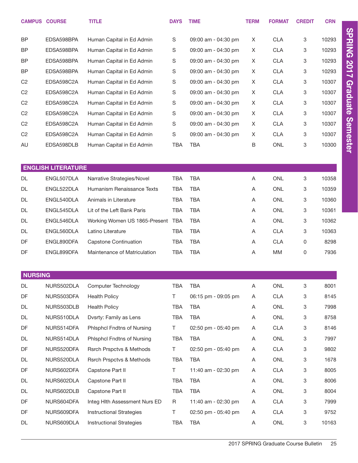|                | <b>CAMPUS COURSE</b>      | <b>TITLE</b>                        | <b>DAYS</b> | <b>TIME</b>         | <b>TERM</b> | <b>FORMAT</b> | <b>CREDIT</b> | <b>CRN</b> |
|----------------|---------------------------|-------------------------------------|-------------|---------------------|-------------|---------------|---------------|------------|
| <b>BP</b>      | EDSA598BPA                | Human Capital in Ed Admin           | S           | 09:00 am - 04:30 pm | X           | <b>CLA</b>    | 3             | 10293      |
| <b>BP</b>      | EDSA598BPA                | Human Capital in Ed Admin           | S           | 09:00 am - 04:30 pm | X           | <b>CLA</b>    | 3             | 10293      |
| <b>BP</b>      | EDSA598BPA                | Human Capital in Ed Admin           | S           | 09:00 am - 04:30 pm | X           | <b>CLA</b>    | 3             | 10293      |
| <b>BP</b>      | EDSA598BPA                | Human Capital in Ed Admin           | S           | 09:00 am - 04:30 pm | X           | <b>CLA</b>    | 3             | 10293      |
| C <sub>2</sub> | EDSA598C2A                | Human Capital in Ed Admin           | $\mathsf S$ | 09:00 am - 04:30 pm | X           | <b>CLA</b>    | 3             | 10307      |
| C <sub>2</sub> | EDSA598C2A                | Human Capital in Ed Admin           | S           | 09:00 am - 04:30 pm | X           | <b>CLA</b>    | 3             | 10307      |
| C <sub>2</sub> | EDSA598C2A                | Human Capital in Ed Admin           | $\mathsf S$ | 09:00 am - 04:30 pm | X           | <b>CLA</b>    | 3             | 10307      |
| C <sub>2</sub> | EDSA598C2A                | Human Capital in Ed Admin           | S           | 09:00 am - 04:30 pm | X           | <b>CLA</b>    | 3             | 10307      |
| C <sub>2</sub> | EDSA598C2A                | Human Capital in Ed Admin           | $\mathsf S$ | 09:00 am - 04:30 pm | X           | <b>CLA</b>    | 3             | 10307      |
| C <sub>2</sub> | EDSA598C2A                | Human Capital in Ed Admin           | $\mathsf S$ | 09:00 am - 04:30 pm | X           | <b>CLA</b>    | 3             | 10307      |
| AU             | EDSA598DLB                | Human Capital in Ed Admin           | <b>TBA</b>  | <b>TBA</b>          | B           | <b>ONL</b>    | 3             | 10300      |
|                |                           |                                     |             |                     |             |               |               |            |
|                | <b>ENGLISH LITERATURE</b> |                                     |             |                     |             |               |               |            |
| <b>DL</b>      | ENGL507DLA                | Narrative Strategies/Novel          | <b>TBA</b>  | <b>TBA</b>          | Α           | <b>ONL</b>    | 3             | 10358      |
| <b>DL</b>      | ENGL522DLA                | Humanism Renaissance Texts          | <b>TBA</b>  | <b>TBA</b>          | Α           | <b>ONL</b>    | 3             | 10359      |
| DL             | ENGL540DLA                | Animals in Literature               | <b>TBA</b>  | <b>TBA</b>          | Α           | ONL           | 3             | 10360      |
| DL             | ENGL545DLA                | Lit of the Left Bank Paris          | <b>TBA</b>  | <b>TBA</b>          | Α           | <b>ONL</b>    | 3             | 10361      |
| DL             | ENGL546DLA                | Working Women US 1865-Present       | <b>TBA</b>  | <b>TBA</b>          | Α           | <b>ONL</b>    | 3             | 10362      |
| DL             | ENGL560DLA                | Latino Literature                   | <b>TBA</b>  | <b>TBA</b>          | A           | <b>CLA</b>    | 3             | 10363      |
| DF             | ENGL890DFA                | <b>Capstone Continuation</b>        | <b>TBA</b>  | <b>TBA</b>          | Α           | <b>CLA</b>    | 0             | 8298       |
| DF             | ENGL899DFA                | Maintenance of Matriculation        | <b>TBA</b>  | <b>TBA</b>          | Α           | MM            | 0             | 7936       |
|                |                           |                                     |             |                     |             |               |               |            |
| <b>NURSING</b> |                           |                                     |             |                     |             |               |               |            |
| DL             | NURS502DLA                | Computer Technology                 | <b>TBA</b>  | <b>TBA</b>          | Α           | ONL           | 3             | 8001       |
| DF             | NURS503DFA                | <b>Health Policy</b>                | T.          | 06:15 pm - 09:05 pm | Α           | <b>CLA</b>    | 3             | 8145       |
| DL             | NURS503DLB                | <b>Health Policy</b>                | <b>TBA</b>  | <b>TBA</b>          | Α           | <b>ONL</b>    | 3             | 7998       |
| DL             | NURS510DLA                | Dvsrty: Family as Lens              | <b>TBA</b>  | <b>TBA</b>          | Α           | <b>ONL</b>    | 3             | 8758       |
| DF             | NURS514DFA                | Phlsphcl Fndtns of Nursing          | T.          | 02:50 pm - 05:40 pm | Α           | <b>CLA</b>    | 3             | 8146       |
| DL             | NURS514DLA                | <b>Phisphci Fndtns of Nursing</b>   | <b>TBA</b>  | <b>TBA</b>          | A           | <b>ONL</b>    | 3             | 7997       |
| DF             | NURS520DFA                | <b>Rsrch Prspctvs &amp; Methods</b> | T.          | 02:50 pm - 05:40 pm | Α           | <b>CLA</b>    | 3             | 9802       |
| DL             | NURS520DLA                | <b>Rsrch Prspctvs &amp; Methods</b> | <b>TBA</b>  | <b>TBA</b>          | Α           | ONL           | 3             | 1678       |
| DF             | NURS602DFA                | Capstone Part II                    | T.          | 11:40 am - 02:30 pm | Α           | <b>CLA</b>    | 3             | 8005       |
| DL             | NURS602DLA                | Capstone Part II                    | <b>TBA</b>  | <b>TBA</b>          | A           | ONL           | 3             | 8006       |
| DL             | NURS602DLB                | Capstone Part II                    | <b>TBA</b>  | <b>TBA</b>          | Α           | <b>ONL</b>    | 3             | 8004       |
| DF             | NURS604DFA                | Integ Hlth Assessment Nurs ED       | $\mathsf R$ | 11:40 am - 02:30 pm | Α           | <b>CLA</b>    | 3             | 7999       |
| DF             | NURS609DFA                | <b>Instructional Strategies</b>     | T.          | 02:50 pm - 05:40 pm | Α           | <b>CLA</b>    | 3             | 9752       |
| DL             | NURS609DLA                | <b>Instructional Strategies</b>     | TBA         | <b>TBA</b>          | A           | ONL           | 3             | 10163      |

2017 SPRING Graduate Course Bulletin 25

SPRING 2017 Graduate Semester

SPRING 2017 Graduate Semester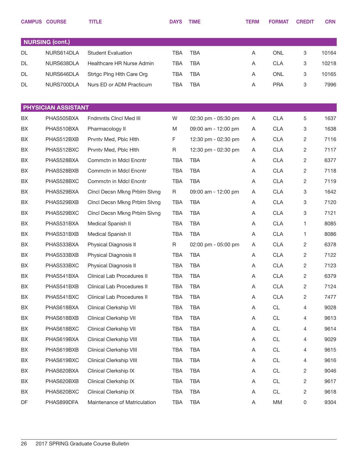|    | <b>CAMPUS COURSE</b>   | <b>TITLE</b>                   | <b>DAYS</b> | <b>TIME</b>         | <b>TERM</b> | <b>FORMAT</b> | <b>CREDIT</b> | <b>CRN</b> |
|----|------------------------|--------------------------------|-------------|---------------------|-------------|---------------|---------------|------------|
|    |                        |                                |             |                     |             |               |               |            |
|    | <b>NURSING (cont.)</b> |                                |             |                     |             |               |               |            |
| DL | NURS614DLA             | <b>Student Evaluation</b>      | TBA         | <b>TBA</b>          | Α           | <b>ONL</b>    | 3             | 10164      |
| DL | NURS638DLA             | Healthcare HR Nurse Admin      | <b>TBA</b>  | <b>TBA</b>          | Α           | <b>CLA</b>    | 3             | 10218      |
| DL | NURS646DLA             | Strtgc Plng Hlth Care Org      | <b>TBA</b>  | <b>TBA</b>          | A           | <b>ONL</b>    | 3             | 10165      |
| DL | NURS700DLA             | Nurs ED or ADM Practicum       | <b>TBA</b>  | <b>TBA</b>          | A           | <b>PRA</b>    | 3             | 7996       |
|    |                        |                                |             |                     |             |               |               |            |
|    | PHYSICIAN ASSISTANT    |                                |             |                     |             |               |               |            |
| BX | PHAS505BXA             | <b>Fndmntls Cinci Med III</b>  | W           | 02:30 pm - 05:30 pm | A           | <b>CLA</b>    | 5             | 1637       |
| BX | PHAS510BXA             | Pharmacology II                | M           | 09:00 am - 12:00 pm | A           | <b>CLA</b>    | 3             | 1638       |
| BX | PHAS512BXB             | Prvntv Med, Pblc Hlth          | F           | 12:30 pm - 02:30 pm | A           | <b>CLA</b>    | 2             | 7116       |
| BX | PHAS512BXC             | Prvntv Med, Pblc Hith          | R           | 12:30 pm - 02:30 pm | Α           | <b>CLA</b>    | 2             | 7117       |
| BX | PHAS528BXA             | Commctn in Mdcl Encntr         | <b>TBA</b>  | <b>TBA</b>          | Α           | <b>CLA</b>    | 2             | 6377       |
| BX | PHAS528BXB             | Commctn in Mdcl Encntr         | <b>TBA</b>  | <b>TBA</b>          | A           | <b>CLA</b>    | 2             | 7118       |
| BX | PHAS528BXC             | Commctn in Mdcl Encntr         | <b>TBA</b>  | <b>TBA</b>          | Α           | <b>CLA</b>    | 2             | 7119       |
| BX | PHAS529BXA             | Cinci Decsn Mkng Prblm Sivng   | $\mathsf R$ | 09:00 am - 12:00 pm | Α           | <b>CLA</b>    | 3             | 1642       |
| BX | PHAS529BXB             | Clncl Decsn Mkng Prblm Slvng   | TBA         | <b>TBA</b>          | Α           | <b>CLA</b>    | 3             | 7120       |
| BX | PHAS529BXC             | Cinci Decsn Mkng Prblm Sivng   | <b>TBA</b>  | <b>TBA</b>          | A           | <b>CLA</b>    | 3             | 7121       |
| BX | PHAS531BXA             | Medical Spanish II             | <b>TBA</b>  | <b>TBA</b>          | Α           | <b>CLA</b>    | 1             | 8085       |
| BX | PHAS531BXB             | Medical Spanish II             | <b>TBA</b>  | <b>TBA</b>          | A           | <b>CLA</b>    | 1.            | 8086       |
| BX | PHAS533BXA             | Physical Diagnosis II          | R           | 02:00 pm - 05:00 pm | A           | <b>CLA</b>    | 2             | 6378       |
| BX | PHAS533BXB             | Physical Diagnosis II          | <b>TBA</b>  | <b>TBA</b>          | Α           | <b>CLA</b>    | 2             | 7122       |
| BX | PHAS533BXC             | Physical Diagnosis II          | <b>TBA</b>  | <b>TBA</b>          | A           | <b>CLA</b>    | 2             | 7123       |
| BX | PHAS541BXA             | Clinical Lab Procedures II     | TBA         | <b>TBA</b>          | A           | <b>CLA</b>    | 2             | 6379       |
| BX | PHAS541BXB             | Clinical Lab Procedures II     | <b>TBA</b>  | <b>TBA</b>          | Α           | <b>CLA</b>    | 2             | 7124       |
| BX | PHAS541BXC             | Clinical Lab Procedures II     | <b>TBA</b>  | <b>TBA</b>          | Α           | <b>CLA</b>    | 2             | 7477       |
| BX | PHAS618BXA             | <b>Clinical Clerkship VII</b>  | <b>TBA</b>  | <b>TBA</b>          | Α           | CL            | 4             | 9028       |
| BX | PHAS618BXB             | <b>Clinical Clerkship VII</b>  | <b>TBA</b>  | <b>TBA</b>          | Α           | CL            | 4             | 9613       |
| BX | PHAS618BXC             | <b>Clinical Clerkship VII</b>  | <b>TBA</b>  | <b>TBA</b>          | Α           | <b>CL</b>     | 4             | 9614       |
| BX | PHAS619BXA             | Clinical Clerkship VIII        | <b>TBA</b>  | <b>TBA</b>          | Α           | CL            | 4             | 9029       |
| BX | PHAS619BXB             | <b>Clinical Clerkship VIII</b> | <b>TBA</b>  | <b>TBA</b>          | Α           | <b>CL</b>     | 4             | 9615       |
| BX | PHAS619BXC             | Clinical Clerkship VIII        | <b>TBA</b>  | <b>TBA</b>          | Α           | CL            | 4             | 9616       |
| BX | PHAS620BXA             | Clinical Clerkship IX          | <b>TBA</b>  | <b>TBA</b>          | Α           | <b>CL</b>     | 2             | 9046       |
| BX | PHAS620BXB             | Clinical Clerkship IX          | <b>TBA</b>  | <b>TBA</b>          | Α           | CL            | 2             | 9617       |
| BX | PHAS620BXC             | Clinical Clerkship IX          | <b>TBA</b>  | <b>TBA</b>          | Α           | CL            | 2             | 9618       |
| DF | PHAS899DFA             | Maintenance of Matriculation   | <b>TBA</b>  | <b>TBA</b>          | Α           | MM            | 0             | 9304       |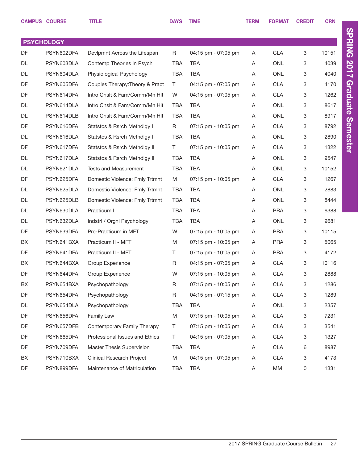|    | <b>CAMPUS COURSE</b> | <b>TITLE</b>                     | <b>DAYS</b> | <b>TIME</b>           | <b>TERM</b> | <b>FORMAT</b> | <b>CREDIT</b>             | <b>CRN</b> |
|----|----------------------|----------------------------------|-------------|-----------------------|-------------|---------------|---------------------------|------------|
|    | <b>PSYCHOLOGY</b>    |                                  |             |                       |             |               |                           |            |
| DF | PSYN602DFA           | Devipmnt Across the Lifespan     | R           | 04:15 pm - 07:05 pm   | A           | <b>CLA</b>    | 3                         | 10151      |
| DL | PSYN603DLA           | Contemp Theories in Psych        | <b>TBA</b>  | <b>TBA</b>            | A           | <b>ONL</b>    | 3                         | 4039       |
| DL | PSYN604DLA           | Physiological Psychology         | <b>TBA</b>  | <b>TBA</b>            | A           | <b>ONL</b>    | 3                         | 4040       |
| DF | PSYN605DFA           | Couples Therapy: Theory & Pract  | T.          | 04:15 pm - 07:05 pm   | Α           | <b>CLA</b>    | 3                         | 4170       |
| DF | PSYN614DFA           | Intro Cnslt & Fam/Comm/Mn Hlt    | W           | 04:15 pm - 07:05 pm   | A           | <b>CLA</b>    | 3                         | 1262       |
| DL | PSYN614DLA           | Intro Cnslt & Fam/Comm/Mn Hlt    | <b>TBA</b>  | TBA                   | A           | <b>ONL</b>    | 3                         | 8617       |
| DL | PSYN614DLB           | Intro Cnslt & Fam/Comm/Mn Hlt    | <b>TBA</b>  | <b>TBA</b>            | A           | <b>ONL</b>    | 3                         | 8917       |
| DF | PSYN616DFA           | Statstcs & Rsrch Methdlgy I      | R           | 07:15 pm - 10:05 pm   | Α           | <b>CLA</b>    | 3                         | 8792       |
| DL | PSYN616DLA           | Statstcs & Rsrch Methdlgy I      | <b>TBA</b>  | <b>TBA</b>            | A           | <b>ONL</b>    | 3                         | 2890       |
| DF | PSYN617DFA           | Statstcs & Rsrch Methdlgy II     | T           | 07:15 pm - 10:05 pm   | A           | <b>CLA</b>    | 3                         | 1322       |
| DL | PSYN617DLA           | Statstcs & Rsrch Methdlgy II     | <b>TBA</b>  | <b>TBA</b>            | A           | <b>ONL</b>    | 3                         | 9547       |
| DL | PSYN621DLA           | <b>Tests and Measurement</b>     | <b>TBA</b>  | <b>TBA</b>            | A           | <b>ONL</b>    | 3                         | 10152      |
| DF | PSYN625DFA           | Domestic Violence: Fmly Trtmnt   | M           | 07:15 pm - 10:05 pm   | A           | <b>CLA</b>    | 3                         | 1267       |
| DL | PSYN625DLA           | Domestic Violence: Fmly Trtmnt   | <b>TBA</b>  | <b>TBA</b>            | A           | <b>ONL</b>    | 3                         | 2883       |
| DL | PSYN625DLB           | Domestic Violence: Fmly Trtmnt   | <b>TBA</b>  | <b>TBA</b>            | A           | <b>ONL</b>    | 3                         | 8444       |
| DL | PSYN630DLA           | Practicum I                      | <b>TBA</b>  | <b>TBA</b>            | A           | <b>PRA</b>    | 3                         | 6388       |
| DL | PSYN632DLA           | Indstrl / Orgnl Psychology       | <b>TBA</b>  | <b>TBA</b>            | A           | <b>ONL</b>    | 3                         | 9681       |
| DF | PSYN639DFA           | Pre-Practicum in MFT             | W           | 07:15 pm - 10:05 pm   | A           | <b>PRA</b>    | 3                         | 10115      |
| BX | PSYN641BXA           | Practicum II - MFT               | M           | 07:15 pm - 10:05 pm   | A           | <b>PRA</b>    | 3                         | 5065       |
| DF | PSYN641DFA           | Practicum II - MFT               | Τ           | 07:15 pm - 10:05 pm   | Α           | <b>PRA</b>    | 3                         | 4172       |
| BX | PSYN644BXA           | Group Experience                 | R           | 04:15 pm - 07:05 pm   | A           | <b>CLA</b>    | 3                         | 10116      |
| DF | PSYN644DFA           | Group Experience                 | W           | $07:15$ pm - 10:05 pm | Α           | <b>CLA</b>    | 3                         | 2888       |
| BX | PSYN654BXA           | Psychopathology                  | $\mathsf R$ | 07:15 pm - 10:05 pm   | Α           | <b>CLA</b>    | 3                         | 1286       |
| DF | PSYN654DFA           | Psychopathology                  | R           | 04:15 pm - 07:15 pm   | Α           | <b>CLA</b>    | 3                         | 1289       |
| DL | PSYN654DLA           | Psychopathology                  | TBA         | TBA                   | Α           | ONL           | 3                         | 2357       |
| DF | PSYN656DFA           | Family Law                       | M           | 07:15 pm - 10:05 pm   | Α           | <b>CLA</b>    | 3                         | 7231       |
| DF | PSYN657DFB           | Contemporary Family Therapy      | T.          | 07:15 pm - 10:05 pm   | Α           | <b>CLA</b>    | 3                         | 3541       |
| DF | PSYN665DFA           | Professional Issues and Ethics   | T.          | 04:15 pm - 07:05 pm   | Α           | <b>CLA</b>    | 3                         | 1327       |
| DF | PSYN709DFA           | Master Thesis Supervision        | <b>TBA</b>  | TBA                   | Α           | <b>CLA</b>    | 6                         | 8987       |
| BX | PSYN710BXA           | <b>Clinical Research Project</b> | M           | 04:15 pm - 07:05 pm   | Α           | <b>CLA</b>    | $\ensuremath{\mathsf{3}}$ | 4173       |
| DF | PSYN899DFA           | Maintenance of Matriculation     | <b>TBA</b>  | <b>TBA</b>            | A           | MM            | 0                         | 1331       |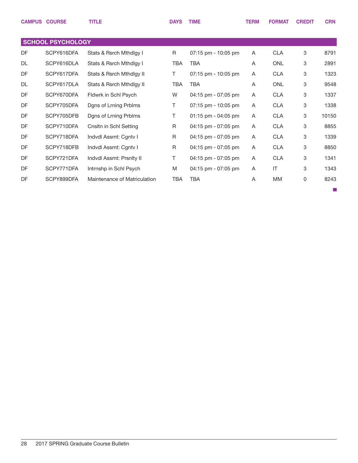|           | <b>CAMPUS COURSE</b>     | <b>TITLE</b>                 | <b>DAYS</b> | <b>TIME</b>           | <b>TERM</b> | <b>FORMAT</b>          | <b>CREDIT</b> | <b>CRN</b> |
|-----------|--------------------------|------------------------------|-------------|-----------------------|-------------|------------------------|---------------|------------|
|           |                          |                              |             |                       |             |                        |               |            |
|           | <b>SCHOOL PSYCHOLOGY</b> |                              |             |                       |             |                        |               |            |
| DF        | SCPY616DFA               | Stats & Rsrch Mthdlgy I      | R           | 07:15 pm - 10:05 pm   | Α           | <b>CLA</b>             | 3             | 8791       |
| <b>DL</b> | SCPY616DLA               | Stats & Rsrch Mthdlgy I      | <b>TBA</b>  | <b>TBA</b>            | A           | <b>ONL</b>             | $\mathbf{3}$  | 2891       |
| DF        | SCPY617DFA               | Stats & Rsrch Mthdlgy II     | T           | 07:15 pm - 10:05 pm   | A           | <b>CLA</b>             | 3             | 1323       |
| DL        | SCPY617DLA               | Stats & Rsrch Mthdlgy II     | <b>TBA</b>  | <b>TBA</b>            | A           | <b>ONL</b>             | 3             | 9548       |
| DF        | SCPY670DFA               | Fldwrk in Schl Psych         | W           | 04:15 pm - 07:05 pm   | A           | <b>CLA</b>             | 3             | 1337       |
| DF        | SCPY705DFA               | Dgns of Lrning Prblms        | T           | $07:15$ pm - 10:05 pm | A           | <b>CLA</b>             | 3             | 1338       |
| DF        | SCPY705DFB               | Dgns of Lrning Prblms        | T           | $01:15$ pm - 04:05 pm | A           | <b>CLA</b>             | 3             | 10150      |
| DF        | SCPY710DFA               | Cnsltn in Schl Setting       | R           | 04:15 pm - 07:05 pm   | A           | <b>CLA</b>             | 3             | 8855       |
| DF        | SCPY718DFA               | Indvdl Assmt: Cgntv I        | R           | 04:15 pm - 07:05 pm   | A           | <b>CLA</b>             | 3             | 1339       |
| DF        | SCPY718DFB               | Indvdl Assmt: Cgntv I        | $\mathsf R$ | 04:15 pm - 07:05 pm   | A           | <b>CLA</b>             | 3             | 8850       |
| DF        | SCPY721DFA               | Indvdl Assmt: Prsnlty II     | T           | 04:15 pm - 07:05 pm   | A           | <b>CLA</b>             | 3             | 1341       |
| DF        | SCPY771DFA               | Intrnshp in Schl Psych       | M           | 04:15 pm - 07:05 pm   | A           | $\mathsf{I}\mathsf{T}$ | 3             | 1343       |
| DF        | SCPY899DFA               | Maintenance of Matriculation | <b>TBA</b>  | TBA                   | A           | <b>MM</b>              | 0             | 8243       |
|           |                          |                              |             |                       |             |                        |               |            |

 $\mathcal{L}_{\mathcal{A}}$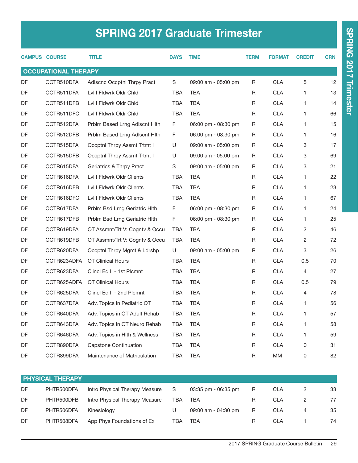# SPRING 2017 Graduate Trimester

|                             | <b>CAMPUS COURSE</b> | <b>TITLE</b>                   | <b>DAYS</b> | <b>TIME</b>         | <b>TERM</b> | <b>FORMAT</b> | <b>CREDIT</b>  | <b>CRN</b> |  |  |
|-----------------------------|----------------------|--------------------------------|-------------|---------------------|-------------|---------------|----------------|------------|--|--|
| <b>OCCUPATIONAL THERAPY</b> |                      |                                |             |                     |             |               |                |            |  |  |
| DF                          | OCTR510DFA           | Adlscnc Occptnl Thrpy Pract    | S           | 09:00 am - 05:00 pm | R           | <b>CLA</b>    | 5              | 12         |  |  |
| DF                          | OCTR511DFA           | Lvl I Fldwrk Oldr Chld         | <b>TBA</b>  | <b>TBA</b>          | R           | <b>CLA</b>    | 1              | 13         |  |  |
| DF                          | OCTR511DFB           | Lvl I Fldwrk Oldr Chld         | <b>TBA</b>  | <b>TBA</b>          | R           | <b>CLA</b>    | 1.             | 14         |  |  |
| DF                          | OCTR511DFC           | Lvl I Fldwrk Oldr Chld         | <b>TBA</b>  | <b>TBA</b>          | R           | <b>CLA</b>    | 1              | 66         |  |  |
| DF                          | OCTR512DFA           | Prblm Based Lrng Adlscnt Hith  | F.          | 06:00 pm - 08:30 pm | R           | <b>CLA</b>    | 1.             | 15         |  |  |
| $\mathsf{D}\mathsf{F}$      | OCTR512DFB           | Prblm Based Lrng Adlscnt Hith  | F.          | 06:00 pm - 08:30 pm | R           | <b>CLA</b>    | 1.             | 16         |  |  |
| DF                          | OCTR515DFA           | Occptnl Thrpy Assmt Trtmt I    | U           | 09:00 am - 05:00 pm | R           | <b>CLA</b>    | 3              | 17         |  |  |
| DF                          | OCTR515DFB           | Occptnl Thrpy Assmt Trtmt I    | U           | 09:00 am - 05:00 pm | R           | <b>CLA</b>    | 3              | 69         |  |  |
| DF                          | OCTR615DFA           | Geriatrics & Thrpy Pract       | S           | 09:00 am - 05:00 pm | R           | <b>CLA</b>    | 3              | 21         |  |  |
| DF                          | OCTR616DFA           | Lvl I Fldwrk Oldr Clients      | TBA         | <b>TBA</b>          | R           | <b>CLA</b>    | 1              | 22         |  |  |
| DF                          | OCTR616DFB           | Lvl I Fldwrk Oldr Clients      | <b>TBA</b>  | <b>TBA</b>          | R           | <b>CLA</b>    | 1.             | 23         |  |  |
| DF                          | OCTR616DFC           | Lvl I Fldwrk Oldr Clients      | <b>TBA</b>  | <b>TBA</b>          | R           | <b>CLA</b>    | 1              | 67         |  |  |
| DF                          | OCTR617DFA           | Prblm Bsd Lrng Geriatric Hith  | F.          | 06:00 pm - 08:30 pm | R           | <b>CLA</b>    | 1.             | 24         |  |  |
| DF                          | OCTR617DFB           | Prblm Bsd Lrng Geriatric Hlth  | F           | 06:00 pm - 08:30 pm | R           | <b>CLA</b>    | 1.             | 25         |  |  |
| DF                          | OCTR619DFA           | OT Assmnt/Trt V: Cognty & Occu | <b>TBA</b>  | <b>TBA</b>          | R           | <b>CLA</b>    | $\overline{2}$ | 46         |  |  |
| DF                          | OCTR619DFB           | OT Assmnt/Trt V: Cognty & Occu | <b>TBA</b>  | <b>TBA</b>          | R           | <b>CLA</b>    | $\overline{c}$ | 72         |  |  |
| DF                          | OCTR620DFA           | Occptnl Thrpy Mgmt & Ldrshp    | U           | 09:00 am - 05:00 pm | R           | <b>CLA</b>    | 3              | 26         |  |  |
| DF                          | OCTR623ADFA          | <b>OT Clinical Hours</b>       | TBA         | <b>TBA</b>          | R           | <b>CLA</b>    | 0.5            | 70         |  |  |
| DF                          | OCTR623DFA           | Clincl Ed II - 1st Plcmnt      | <b>TBA</b>  | <b>TBA</b>          | R           | <b>CLA</b>    | $\overline{4}$ | 27         |  |  |
| DF                          | OCTR625ADFA          | <b>OT Clinical Hours</b>       | <b>TBA</b>  | <b>TBA</b>          | R           | <b>CLA</b>    | 0.5            | 79         |  |  |
| DF                          | OCTR625DFA           | Clincl Ed II - 2nd Plcmnt      | TBA         | <b>TBA</b>          | R           | <b>CLA</b>    | 4              | 78         |  |  |
| DF                          | OCTR637DFA           | Adv. Topics in Pediatric OT    | <b>TBA</b>  | <b>TBA</b>          | R           | <b>CLA</b>    | 1.             | 56         |  |  |
| DF                          | OCTR640DFA           | Adv. Topics in OT Adult Rehab  | TBA         | <b>TBA</b>          | $\sf R$     | <b>CLA</b>    | 1              | 57         |  |  |
| DF                          | OCTR643DFA           | Adv. Topics in OT Neuro Rehab  | <b>TBA</b>  | <b>TBA</b>          | R           | CLA           | 1              | 58         |  |  |
| DF                          | OCTR646DFA           | Adv. Topics in Hlth & Wellness | TBA         | <b>TBA</b>          | R           | CLA           | 1              | 59         |  |  |
| DF                          | OCTR890DFA           | <b>Capstone Continuation</b>   | <b>TBA</b>  | <b>TBA</b>          | R           | CLA           | 0              | 31         |  |  |
| DF                          | OCTR899DFA           | Maintenance of Matriculation   | TBA         | <b>TBA</b>          | R           | MM            | 0              | 82         |  |  |

|     | <b>PHYSICAL THERAPY</b> |                                |     |                     |    |            |   |    |  |  |  |
|-----|-------------------------|--------------------------------|-----|---------------------|----|------------|---|----|--|--|--|
| DF. | PHTR500DFA              | Intro Physical Therapy Measure | - S | 03:35 pm - 06:35 pm | R  | CLA        |   | 33 |  |  |  |
| DF. | PHTR500DFB              | Intro Physical Therapy Measure | TBA | <b>TBA</b>          |    | CI A       |   | 77 |  |  |  |
| DF  | PHTR506DFA              | Kinesioloav                    |     | 09:00 am - 04:30 pm | R. | CLA        | 4 | 35 |  |  |  |
| DF  | PHTR508DFA              | App Phys Foundations of Ex     | тва | TBA                 |    | <b>CLA</b> |   | 74 |  |  |  |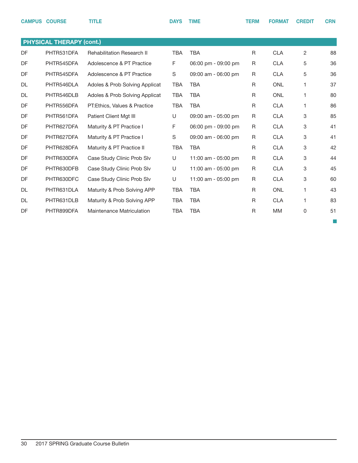|           | <b>CAMPUS COURSE</b>            | <b>TITLE</b>                      | <b>DAYS</b> | <b>TIME</b>         | <b>TERM</b> | <b>FORMAT</b> | <b>CREDIT</b> | <b>CRN</b> |
|-----------|---------------------------------|-----------------------------------|-------------|---------------------|-------------|---------------|---------------|------------|
|           | <b>PHYSICAL THERAPY (cont.)</b> |                                   |             |                     |             |               |               |            |
| <b>DF</b> | PHTR531DFA                      | <b>Rehabilitation Research II</b> | <b>TBA</b>  | <b>TBA</b>          | R           | <b>CLA</b>    | 2             | 88         |
| DF        | PHTR545DFA                      | Adolescence & PT Practice         | F           | 06:00 pm - 09:00 pm | R           | <b>CLA</b>    | 5             | 36         |
| <b>DF</b> | PHTR545DFA                      | Adolescence & PT Practice         | S           | 09:00 am - 06:00 pm | R           | <b>CLA</b>    | 5             | 36         |
| <b>DL</b> | PHTR546DLA                      | Adoles & Prob Solving Applicat    | <b>TBA</b>  | <b>TBA</b>          | R           | <b>ONL</b>    | 1             | 37         |
| <b>DL</b> | PHTR546DLB                      | Adoles & Prob Solving Applicat    | <b>TBA</b>  | <b>TBA</b>          | R           | <b>ONL</b>    | 1             | 80         |
| DF        | PHTR556DFA                      | PT: Ethics, Values & Practice     | <b>TBA</b>  | <b>TBA</b>          | R           | <b>CLA</b>    | 1.            | 86         |
| DF        | PHTR561DFA                      | Patient Client Mgt III            | U           | 09:00 am - 05:00 pm | R           | <b>CLA</b>    | 3             | 85         |
| DF        | PHTR627DFA                      | Maturity & PT Practice I          | F           | 06:00 pm - 09:00 pm | R           | <b>CLA</b>    | 3             | 41         |
| DF        | PHTR627DFA                      | Maturity & PT Practice I          | S           | 09:00 am - 06:00 pm | R           | <b>CLA</b>    | 3             | 41         |
| DF        | PHTR628DFA                      | Maturity & PT Practice II         | <b>TBA</b>  | <b>TBA</b>          | R           | <b>CLA</b>    | 3             | 42         |
| DF        | PHTR630DFA                      | Case Study Clinic Prob Slv        | U           | 11:00 am - 05:00 pm | R           | <b>CLA</b>    | 3             | 44         |
| DF        | PHTR630DFB                      | Case Study Clinic Prob Slv        | U           | 11:00 am - 05:00 pm | R           | <b>CLA</b>    | 3             | 45         |
| DF        | PHTR630DFC                      | Case Study Clinic Prob Slv        | U           | 11:00 am - 05:00 pm | R           | <b>CLA</b>    | 3             | 60         |
| <b>DL</b> | PHTR631DLA                      | Maturity & Prob Solving APP       | <b>TBA</b>  | <b>TBA</b>          | R           | <b>ONL</b>    | 1             | 43         |
| <b>DL</b> | PHTR631DLB                      | Maturity & Prob Solving APP       | <b>TBA</b>  | <b>TBA</b>          | R           | <b>CLA</b>    | 1.            | 83         |
| DF        | PHTR899DFA                      | <b>Maintenance Matriculation</b>  | <b>TBA</b>  | <b>TBA</b>          | R           | <b>MM</b>     | 0             | 51         |

 $\overline{\mathbb{R}^2}$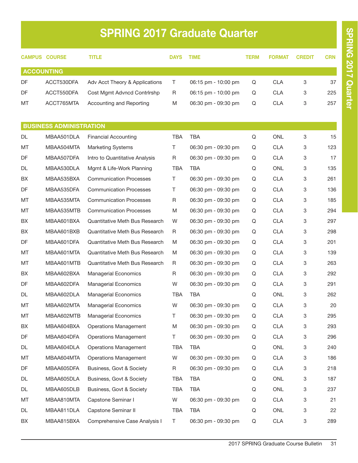# SPRING 2017 Graduate Quarter

|           | <b>CAMPUS COURSE</b>           | <b>TITLE</b>                          | <b>DAYS</b> | <b>TIME</b>           | TERM | <b>FORMAT</b> | <b>CREDIT</b> | <b>CRN</b> |
|-----------|--------------------------------|---------------------------------------|-------------|-----------------------|------|---------------|---------------|------------|
|           | <b>ACCOUNTING</b>              |                                       |             |                       |      |               |               |            |
| DF        | ACCT530DFA                     | Adv Acct Theory & Applications        | T.          | 06:15 pm - 10:00 pm   | Q    | <b>CLA</b>    | 3             | 37         |
| DF        | ACCT550DFA                     | Cost Mgmt Advncd Contrirshp           | R.          | $06:15$ pm - 10:00 pm | Q    | <b>CLA</b>    | 3             | 225        |
| МT        | ACCT765MTA                     | Accounting and Reporting              | M           | 06:30 pm - 09:30 pm   | Q    | <b>CLA</b>    | 3             | 257        |
|           | <b>BUSINESS ADMINISTRATION</b> |                                       |             |                       |      |               |               |            |
| DL        | MBAA501DLA                     | <b>Financial Accounting</b>           | <b>TBA</b>  | <b>TBA</b>            | Q    | <b>ONL</b>    | 3             | 15         |
| МT        | MBAA504MTA                     | <b>Marketing Systems</b>              | T.          | 06:30 pm - 09:30 pm   | Q    | <b>CLA</b>    | 3             | 123        |
| DF        | MBAA507DFA                     | Intro to Quantitative Analysis        | R           | 06:30 pm - 09:30 pm   | Q    | <b>CLA</b>    | 3             | 17         |
| DL        | MBAA530DLA                     | Mgmt & Life-Work Planning             | <b>TBA</b>  | <b>TBA</b>            | Q    | <b>ONL</b>    | 3             | 135        |
| BХ        | MBAA535BXA                     | <b>Communication Processes</b>        | T.          | 06:30 pm - 09:30 pm   | Q    | <b>CLA</b>    | 3             | 261        |
| DF        | MBAA535DFA                     | <b>Communication Processes</b>        | Τ           | 06:30 pm - 09:30 pm   | Q    | CLA           | 3             | 136        |
| МT        | MBAA535MTA                     | <b>Communication Processes</b>        | R           | 06:30 pm - 09:30 pm   | Q    | <b>CLA</b>    | 3             | 185        |
| MT        | MBAA535MTB                     | <b>Communication Processes</b>        | M           | 06:30 pm - 09:30 pm   | Q    | <b>CLA</b>    | 3             | 294        |
| BX        | MBAA601BXA                     | <b>Quantitative Meth Bus Research</b> | W           | 06:30 pm - 09:30 pm   | Q    | <b>CLA</b>    | 3             | 297        |
| BX        | MBAA601BXB                     | <b>Quantitative Meth Bus Research</b> | R           | 06:30 pm - 09:30 pm   | Q    | <b>CLA</b>    | 3             | 298        |
| DF        | MBAA601DFA                     | Quantitative Meth Bus Research        | М           | 06:30 pm - 09:30 pm   | Q    | <b>CLA</b>    | 3             | 201        |
| MT        | MBAA601MTA                     | Quantitative Meth Bus Research        | M           | 06:30 pm - 09:30 pm   | Q    | <b>CLA</b>    | 3             | 139        |
| МT        | MBAA601MTB                     | Quantitative Meth Bus Research        | R           | 06:30 pm - 09:30 pm   | Q    | <b>CLA</b>    | 3             | 263        |
| BX        | MBAA602BXA                     | <b>Managerial Economics</b>           | R           | 06:30 pm - 09:30 pm   | Q    | <b>CLA</b>    | 3             | 292        |
| DF        | MBAA602DFA                     | <b>Managerial Economics</b>           | W           | 06:30 pm - 09:30 pm   | Q    | <b>CLA</b>    | 3             | 291        |
| <b>DL</b> | MBAA602DLA                     | <b>Managerial Economics</b>           | TBA         | <b>TBA</b>            | Q    | <b>ONL</b>    | 3             | 262        |
| MT        | MBAA602MTA                     | Managerial Economics                  | W           | 06:30 pm - 09:30 pm   | Q    | <b>CLA</b>    | 3             | 20         |
| МT        | MBAA602MTB                     | Managerial Economics                  | Τ           | 06:30 pm - 09:30 pm   | Q    | <b>CLA</b>    | 3             | 295        |
| BX        | MBAA604BXA                     | <b>Operations Management</b>          | M           | 06:30 pm - 09:30 pm   | Q    | <b>CLA</b>    | 3             | 293        |
| DF        | MBAA604DFA                     | <b>Operations Management</b>          | T.          | 06:30 pm - 09:30 pm   | Q    | <b>CLA</b>    | 3             | 296        |
| DL        | MBAA604DLA                     | <b>Operations Management</b>          | TBA         | TBA                   | Q    | ONL           | 3             | 240        |
| МT        | MBAA604MTA                     | <b>Operations Management</b>          | W           | 06:30 pm - 09:30 pm   | Q    | <b>CLA</b>    | 3             | 186        |
| DF        | MBAA605DFA                     | Business, Govt & Society              | R           | 06:30 pm - 09:30 pm   | Q    | <b>CLA</b>    | 3             | 218        |
| DL        | MBAA605DLA                     | Business, Govt & Society              | TBA         | <b>TBA</b>            | Q    | ONL           | 3             | 187        |
| DL        | MBAA605DLB                     | Business, Govt & Society              | TBA         | <b>TBA</b>            | Q    | ONL           | 3             | 237        |
| МT        | MBAA810MTA                     | Capstone Seminar I                    | W           | 06:30 pm - 09:30 pm   | Q    | <b>CLA</b>    | 3             | 21         |
| DL        | MBAA811DLA                     | Capstone Seminar II                   | TBA         | <b>TBA</b>            | Q    | ONL           | 3             | 22         |
| BX        | MBAA815BXA                     | Comprehensive Case Analysis I         | T           | 06:30 pm - 09:30 pm   | Q    | <b>CLA</b>    | 3             | 289        |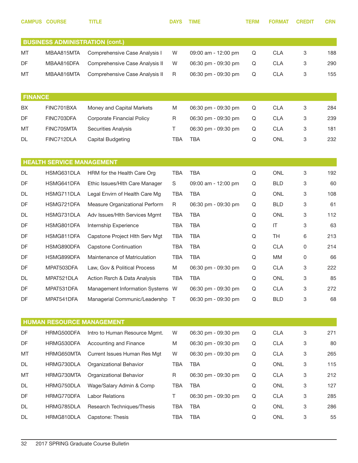|                | <b>CAMPUS COURSE</b>                   | TITLE                             | <b>DAYS</b> | <b>TIME</b>         | <b>TERM</b> | <b>FORMAT</b> | <b>CREDIT</b> | <b>CRN</b> |
|----------------|----------------------------------------|-----------------------------------|-------------|---------------------|-------------|---------------|---------------|------------|
|                | <b>BUSINESS ADMINISTRATION (cont.)</b> |                                   |             |                     |             |               |               |            |
| МT             | MBAA815MTA                             | Comprehensive Case Analysis I     | W           | 09:00 am - 12:00 pm | Q           | <b>CLA</b>    | 3             | 188        |
| DF             | MBAA816DFA                             | Comprehensive Case Analysis II    | W           | 06:30 pm - 09:30 pm | Q           | <b>CLA</b>    | 3             | 290        |
| МT             | MBAA816MTA                             | Comprehensive Case Analysis II    | R           | 06:30 pm - 09:30 pm | Q           | <b>CLA</b>    | 3             | 155        |
| <b>FINANCE</b> |                                        |                                   |             |                     |             |               |               |            |
| BХ             | FINC701BXA                             | Money and Capital Markets         | M           | 06:30 pm - 09:30 pm | Q           | <b>CLA</b>    | 3             | 284        |
| <b>DF</b>      | FINC703DFA                             | <b>Corporate Financial Policy</b> | R           | 06:30 pm - 09:30 pm | Q           | <b>CLA</b>    | 3             | 239        |
| МT             | FINC705MTA                             | <b>Securities Analysis</b>        | T           | 06:30 pm - 09:30 pm | Q           | <b>CLA</b>    | 3             | 181        |
| DL             | FINC712DLA                             | Capital Budgeting                 | <b>TBA</b>  | <b>TBA</b>          | Q           | <b>ONL</b>    | 3             | 232        |
|                | <b>HEALTH SERVICE MANAGEMENT</b>       |                                   |             |                     |             |               |               |            |
| DL             | HSMG631DLA                             | HRM for the Health Care Org       | <b>TBA</b>  | <b>TBA</b>          | Q           | <b>ONL</b>    | 3             | 192        |
| DF             | HSMG641DFA                             | Ethic Issues/HIth Care Manager    | S           | 09:00 am - 12:00 pm | Q           | <b>BLD</b>    | 3             | 60         |
| DL             | HSMG711DLA                             | Legal Envirn of Health Care Mg    | <b>TBA</b>  | <b>TBA</b>          | Q           | <b>ONL</b>    | 3             | 108        |
| DF             | HSMG721DFA                             | Measure Organizational Perform    | R           | 06:30 pm - 09:30 pm | Q           | <b>BLD</b>    | 3             | 61         |
| DL             | HSMG731DLA                             | Adv Issues/Hith Services Mgmt     | <b>TBA</b>  | <b>TBA</b>          | Q           | <b>ONL</b>    | 3             | 112        |
| DF             | HSMG801DFA                             | Internship Experience             | <b>TBA</b>  | <b>TBA</b>          | Q           | IT            | 3             | 63         |
| DF             | HSMG811DFA                             | Capstone Project Hith Serv Mgt    | <b>TBA</b>  | <b>TBA</b>          | Q           | <b>TH</b>     | 6             | 213        |
| DF             | HSMG890DFA                             | <b>Capstone Continuation</b>      | <b>TBA</b>  | <b>TBA</b>          | Q           | <b>CLA</b>    | 0             | 214        |
| DF             | HSMG899DFA                             | Maintenance of Matriculation      | <b>TBA</b>  | <b>TBA</b>          | Q           | MМ            | 0             | 66         |
| DF             | MPAT503DFA                             | Law, Gov & Political Process      | M           | 06:30 pm - 09:30 pm | Q           | <b>CLA</b>    | 3             | 222        |
| DL             | MPAT521DLA                             | Action Rsrch & Data Analysis      | TBA         | TBA                 | Q           | ONL           | 3             | 85         |
| DF             | MPAT531DFA                             | Management Information Systems W  |             | 06:30 pm - 09:30 pm | Q           | <b>CLA</b>    | 3             | 272        |
| DF             | MPAT541DFA                             | Managerial Communic/Leadershp T   |             | 06:30 pm - 09:30 pm | Q           | <b>BLD</b>    | 3             | 68         |
|                |                                        | <b>HUMAN RESOURCE MANAGEMENT</b>  |             |                     |             |               |               |            |
| DF             | HRMG500DFA                             | Intro to Human Resource Mgmt.     | W           | 06:30 pm - 09:30 pm | Q           | <b>CLA</b>    | 3             | 271        |
| DF             | HRMG530DFA                             | Accounting and Finance            | M           | 06:30 pm - 09:30 pm | Q           | <b>CLA</b>    | 3             | 80         |
| МT             | HRMG650MTA                             | Current Issues Human Res Mgt      | W           | 06:30 pm - 09:30 pm | Q           | <b>CLA</b>    | 3             | 265        |
| DL             | HRMG730DLA                             | Organizational Behavior           | TBA         | <b>TBA</b>          | Q           | ONL           | 3             | 115        |
| МT             | HRMG730MTA                             | Organizational Behavior           | R           | 06:30 pm - 09:30 pm | Q           | <b>CLA</b>    | 3             | 212        |
| DL             | HRMG750DLA                             | Wage/Salary Admin & Comp          | TBA         | <b>TBA</b>          | Q           | ONL           | 3             | 127        |
| DF             | HRMG770DFA                             | <b>Labor Relations</b>            | Τ           | 06:30 pm - 09:30 pm | Q           | <b>CLA</b>    | 3             | 285        |
| DL             | HRMG785DLA                             | Research Techniques/Thesis        | TBA         | <b>TBA</b>          | Q           | ONL           | 3             | 286        |
| DL             | HRMG810DLA                             | Capstone: Thesis                  | TBA         | <b>TBA</b>          | Q           | ONL           | 3             | 55         |